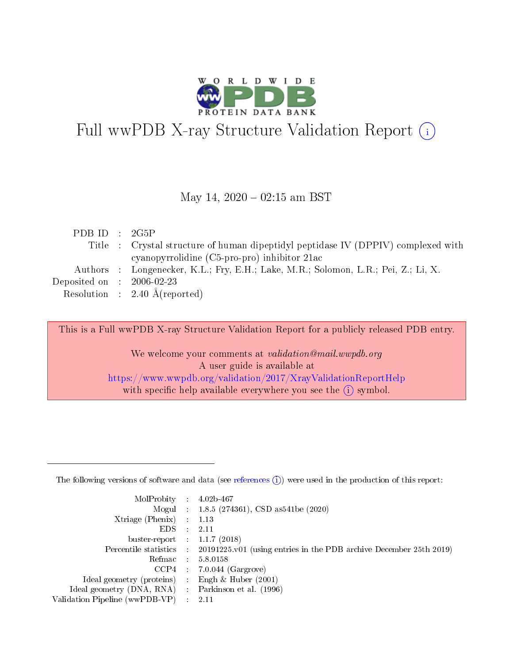

# Full wwPDB X-ray Structure Validation Report (i)

## May 14,  $2020 - 02:15$  am BST

| PDB ID : $2G5P$                      |                                                                                    |
|--------------------------------------|------------------------------------------------------------------------------------|
|                                      | Title : Crystal structure of human dipeptidyl peptidase IV (DPPIV) complexed with  |
|                                      | cyanopyrrolidine (C5-pro-pro) inhibitor 21ac                                       |
|                                      | Authors : Longenecker, K.L.; Fry, E.H.; Lake, M.R.; Solomon, L.R.; Pei, Z.; Li, X. |
| Deposited on $\therefore$ 2006-02-23 |                                                                                    |
|                                      | Resolution : 2.40 $\AA$ (reported)                                                 |

This is a Full wwPDB X-ray Structure Validation Report for a publicly released PDB entry.

We welcome your comments at validation@mail.wwpdb.org A user guide is available at <https://www.wwpdb.org/validation/2017/XrayValidationReportHelp> with specific help available everywhere you see the  $(i)$  symbol.

The following versions of software and data (see [references](https://www.wwpdb.org/validation/2017/XrayValidationReportHelp#references)  $(1)$ ) were used in the production of this report:

| MolProbity                     | $\mathcal{L}_{\rm{max}}$ | $4.02b - 467$                                                                |
|--------------------------------|--------------------------|------------------------------------------------------------------------------|
|                                |                          | Mogul : $1.8.5$ (274361), CSD as 541be (2020)                                |
| $X$ triage (Phenix) :          |                          | 1.13                                                                         |
| EDS.                           |                          | 2.11                                                                         |
| buster-report : $1.1.7$ (2018) |                          |                                                                              |
| Percentile statistics :        |                          | $20191225 \text{ v}01$ (using entries in the PDB archive December 25th 2019) |
| Refmac                         |                          | 5.8.0158                                                                     |
| $CCP4$ :                       |                          | $7.0.044$ (Gargrove)                                                         |
| Ideal geometry (proteins) :    |                          | Engh $\&$ Huber (2001)                                                       |
| Ideal geometry (DNA, RNA) :    |                          | Parkinson et al. (1996)                                                      |
| Validation Pipeline (wwPDB-VP) | $\mathcal{L}$            | -2.11                                                                        |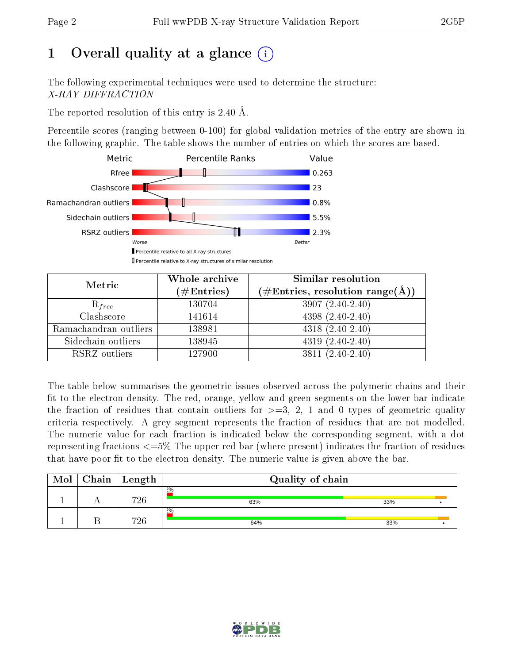# 1 [O](https://www.wwpdb.org/validation/2017/XrayValidationReportHelp#overall_quality)verall quality at a glance  $(i)$

The following experimental techniques were used to determine the structure: X-RAY DIFFRACTION

The reported resolution of this entry is 2.40 Å.

Percentile scores (ranging between 0-100) for global validation metrics of the entry are shown in the following graphic. The table shows the number of entries on which the scores are based.



| Metric                | Whole archive<br>$(\#\mathrm{Entries})$ | Similar resolution<br>$(\#\text{Entries},\,\text{resolution}\,\,\text{range}(\textup{\AA}))$ |  |  |
|-----------------------|-----------------------------------------|----------------------------------------------------------------------------------------------|--|--|
| $R_{free}$            | 130704                                  | $3907(2.40-2.40)$                                                                            |  |  |
| Clashscore            | 141614                                  | $4398(2.40-2.40)$                                                                            |  |  |
| Ramachandran outliers | 138981                                  | $4318(2.40-2.40)$                                                                            |  |  |
| Sidechain outliers    | 138945                                  | $4319(2.40-2.40)$                                                                            |  |  |
| RSRZ outliers         | 127900                                  | $3811 (2.40 - 2.40)$                                                                         |  |  |

The table below summarises the geometric issues observed across the polymeric chains and their fit to the electron density. The red, orange, yellow and green segments on the lower bar indicate the fraction of residues that contain outliers for  $>=3, 2, 1$  and 0 types of geometric quality criteria respectively. A grey segment represents the fraction of residues that are not modelled. The numeric value for each fraction is indicated below the corresponding segment, with a dot representing fractions <=5% The upper red bar (where present) indicates the fraction of residues that have poor fit to the electron density. The numeric value is given above the bar.

| Mol | $C$ hain   Length | Quality of chain |     |  |
|-----|-------------------|------------------|-----|--|
|     | 726               | 2%<br>63%        | 33% |  |
|     | 726               | 2%<br>64%        | 33% |  |

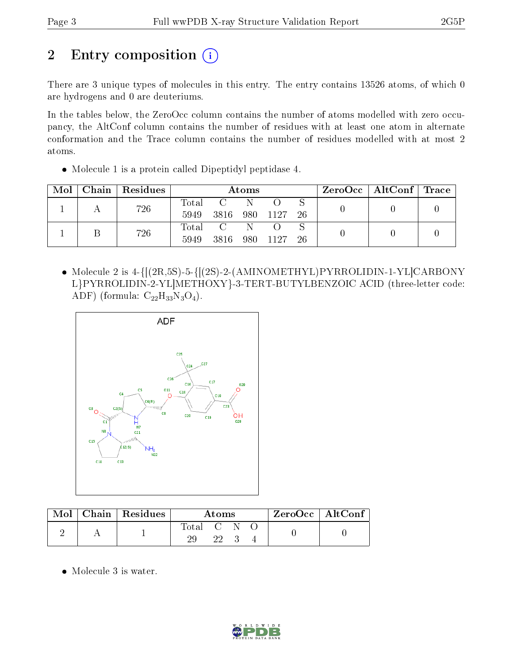# 2 Entry composition (i)

There are 3 unique types of molecules in this entry. The entry contains 13526 atoms, of which 0 are hydrogens and 0 are deuteriums.

In the tables below, the ZeroOcc column contains the number of atoms modelled with zero occupancy, the AltConf column contains the number of residues with at least one atom in alternate conformation and the Trace column contains the number of residues modelled with at most 2 atoms.

Molecule 1 is a protein called Dipeptidyl peptidase 4.

| Mol | Chain   Residues | <b>Atoms</b>    |               |   |  | $\rm ZeroOcc$   Alt $\rm Conf$   Trace |  |  |
|-----|------------------|-----------------|---------------|---|--|----------------------------------------|--|--|
|     | 726              | Total<br>5949   | 3816 980 1127 | N |  | -26                                    |  |  |
|     | 726              | Total C<br>5949 | 3816 980 1127 |   |  | -26                                    |  |  |

• Molecule 2 is  $4-{[(2R,5S)-5-{[(2S)-2-(AMINOMETHYL)PYRROLIDIN-1-YL]CARBONY}$ L}PYRROLIDIN-2-YL]METHOXY}-3-TERT-BUTYLBENZOIC ACID (three-letter code: ADF) (formula:  $C_{22}H_{33}N_3O_4$ ).



|  | $Mol$   Chain   Residues | Atoms     |    |  | $\mid$ ZeroOcc $\mid$ AltConf |  |
|--|--------------------------|-----------|----|--|-------------------------------|--|
|  |                          | Total C N | 22 |  |                               |  |

Molecule 3 is water.

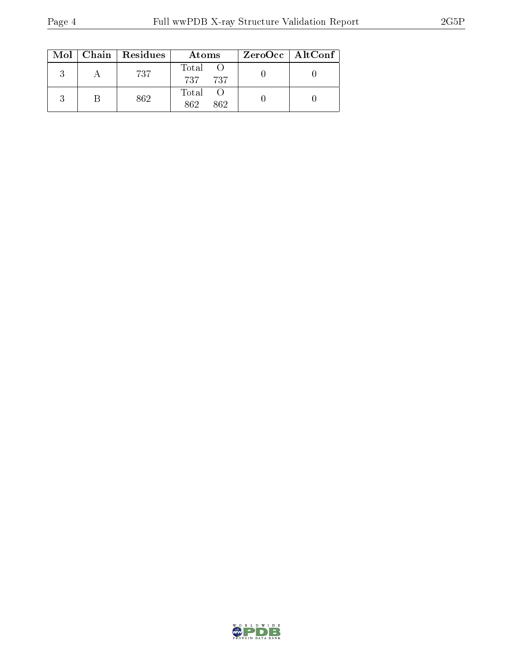|  | $Mol$   Chain   Residues | Atoms                | ZeroOcc   AltConf |
|--|--------------------------|----------------------|-------------------|
|  | 737                      | Total<br>737 737     |                   |
|  | 862                      | Total<br>862.<br>862 |                   |

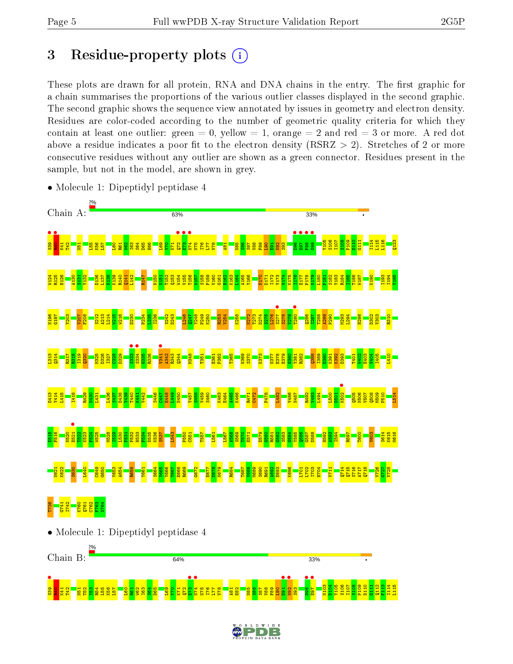**•**<br>S3<mark>9 អូ អូ អូ អូ អូ</mark><br>និង អូ អូ អូ អូ អូ

 $\frac{23}{2}$ R54 L55 K56 L57  $\overline{\mathbf{E}}$  $\frac{1}{2}$  $\frac{1}{2}$ I63  $58<sup>4</sup>$ D65  $\frac{169}{2}$  $\frac{5}{2}$  $\overline{\text{K}}$  $\mathbb{Z}^2$ E73 •  $\frac{1}{\sqrt{74}}$ N75 I76  $\overline{11}$ V78 A81  $\frac{2}{2}$ N85  $\frac{86}{2}$  $\frac{87}{2}$  $\frac{88}{2}$  $\frac{8}{5}$  $\frac{1}{10}$  $\frac{1}{2}$  $\frac{1}{2}$  $\frac{3}{2}$  $\frac{1}{2}$ **e**<br>E97 N103 D104 Y105 S106 I107 S108 P109 D110 G111  $\frac{112}{2}$ F113 I114 L115

## 3 Residue-property plots  $(i)$

These plots are drawn for all protein, RNA and DNA chains in the entry. The first graphic for a chain summarises the proportions of the various outlier classes displayed in the second graphic. The second graphic shows the sequence view annotated by issues in geometry and electron density. Residues are color-coded according to the number of geometric quality criteria for which they contain at least one outlier: green  $= 0$ , yellow  $= 1$ , orange  $= 2$  and red  $= 3$  or more. A red dot above a residue indicates a poor fit to the electron density (RSRZ  $> 2$ ). Stretches of 2 or more consecutive residues without any outlier are shown as a green connector. Residues present in the sample, but not in the model, are shown in grey.



• Molecule 1: Dipeptidyl peptidase 4

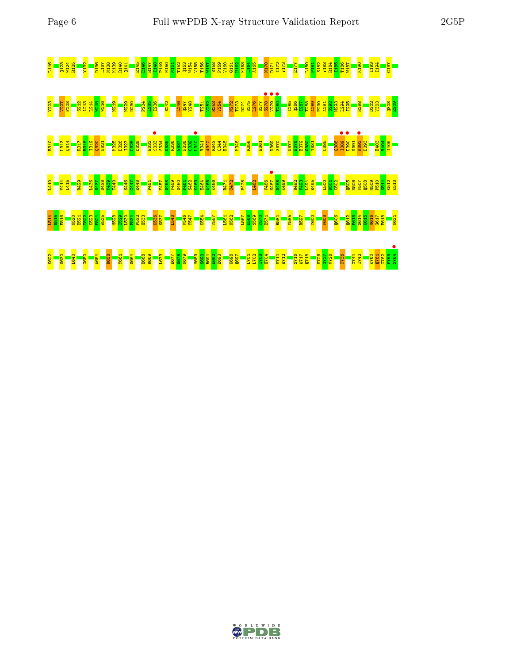



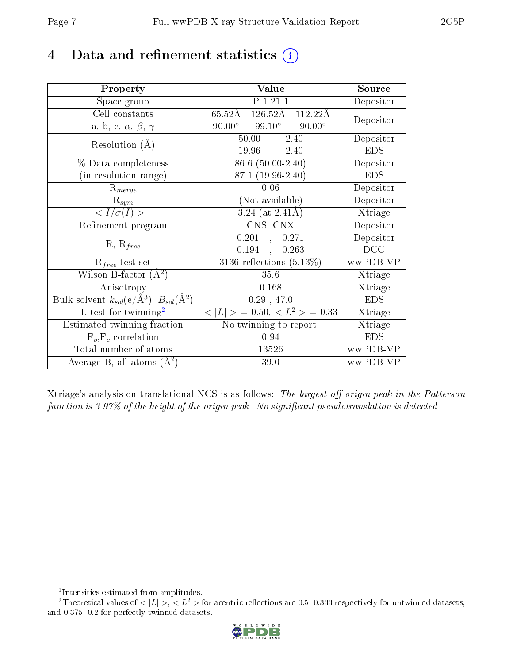## 4 Data and refinement statistics  $(i)$

| Property                                                                 | Value                                               | Source     |
|--------------------------------------------------------------------------|-----------------------------------------------------|------------|
| Space group                                                              | P 1 21 1                                            | Depositor  |
| Cell constants                                                           | $126.52\text{\AA}$<br>$65.52\text{\AA}$<br>112.22Å  | Depositor  |
| a, b, c, $\alpha$ , $\beta$ , $\gamma$                                   | $90.00^\circ$<br>$99.10^{\circ}$<br>$90.00^{\circ}$ |            |
| Resolution $(A)$                                                         | 50.00<br>$-2.40$                                    | Depositor  |
|                                                                          | 19.96<br>$-2.40$                                    | <b>EDS</b> |
| % Data completeness                                                      | $86.6(50.00-2.40)$                                  | Depositor  |
| (in resolution range)                                                    | 87.1 (19.96-2.40)                                   | <b>EDS</b> |
| $R_{merge}$                                                              | 0.06                                                | Depositor  |
| $\mathrm{R}_{sym}$                                                       | (Not available)                                     | Depositor  |
| $\langle I/\sigma(I) \rangle^{-1}$                                       | $3.24$ (at $2.41\text{\AA}$ )                       | Xtriage    |
| Refinement program                                                       | CNS, CNX                                            | Depositor  |
| $R, R_{free}$                                                            | 0.201,<br>0.271                                     | Depositor  |
|                                                                          | 0.194,<br>0.263                                     | DCC        |
| $\mathcal{R}_{free}$ test set                                            | $3136$ reflections $(5.13\%)$                       | wwPDB-VP   |
| Wilson B-factor $(A^2)$                                                  | 35.6                                                | Xtriage    |
| Anisotropy                                                               | 0.168                                               | Xtriage    |
| Bulk solvent $k_{sol}(\mathrm{e}/\mathrm{A}^3),$ $B_{sol}(\mathrm{A}^2)$ | 0.29, 47.0                                          | <b>EDS</b> |
| L-test for twinning <sup>2</sup>                                         | $< L >$ = 0.50, $< L2 >$ = 0.33                     | Xtriage    |
| Estimated twinning fraction                                              | No twinning to report.                              | Xtriage    |
| $F_o, F_c$ correlation                                                   | 0.94                                                | <b>EDS</b> |
| Total number of atoms                                                    | 13526                                               | wwPDB-VP   |
| Average B, all atoms $(A^2)$                                             | 39.0                                                | wwPDB-VP   |

Xtriage's analysis on translational NCS is as follows: The largest off-origin peak in the Patterson function is  $3.97\%$  of the height of the origin peak. No significant pseudotranslation is detected.

<sup>&</sup>lt;sup>2</sup>Theoretical values of  $\langle |L| \rangle$ ,  $\langle L^2 \rangle$  for acentric reflections are 0.5, 0.333 respectively for untwinned datasets, and 0.375, 0.2 for perfectly twinned datasets.



<span id="page-6-1"></span><span id="page-6-0"></span><sup>1</sup> Intensities estimated from amplitudes.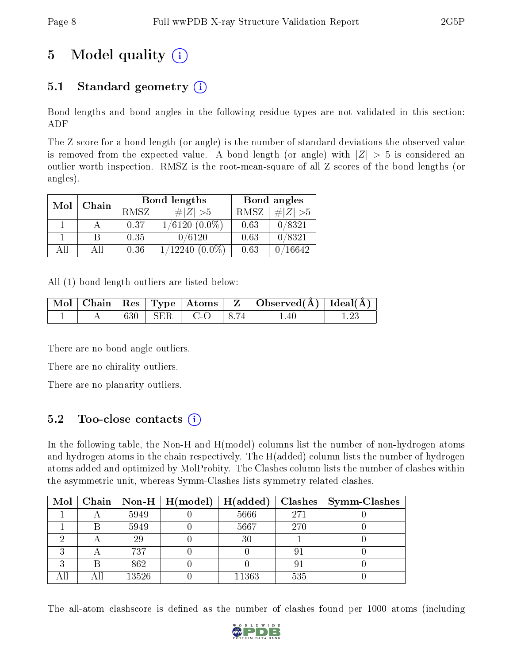# 5 Model quality  $(i)$

## 5.1 Standard geometry  $(i)$

Bond lengths and bond angles in the following residue types are not validated in this section: ADF

The Z score for a bond length (or angle) is the number of standard deviations the observed value is removed from the expected value. A bond length (or angle) with  $|Z| > 5$  is considered an outlier worth inspection. RMSZ is the root-mean-square of all Z scores of the bond lengths (or angles).

| Mol | Chain |      | Bond lengths        | Bond angles |           |  |
|-----|-------|------|---------------------|-------------|-----------|--|
|     |       | RMSZ | $\ Z\  > 5$         | RMSZ        | # $ Z >5$ |  |
|     |       | 0.37 | $1/6120(0.0\%)$     | 0.63        | 0/8321    |  |
|     | B     | 0.35 | 0/6120              | 0.63        | 0/8321    |  |
| All | All   | 0.36 | $1/12240$ $(0.0\%)$ | 0.63        | 0/16642   |  |

All (1) bond length outliers are listed below:

|  |  |                                | $\mid$ Mol $\mid$ Chain $\mid$ Res $\mid$ Type $\mid$ Atoms $\mid$ Z $\mid$ Observed(A) $\mid$ Ideal(A) $\mid$ |  |
|--|--|--------------------------------|----------------------------------------------------------------------------------------------------------------|--|
|  |  | $\vert$ 630   SER   C-O   8.74 | 1.40                                                                                                           |  |

There are no bond angle outliers.

There are no chirality outliers.

There are no planarity outliers.

## 5.2 Too-close contacts  $(i)$

In the following table, the Non-H and H(model) columns list the number of non-hydrogen atoms and hydrogen atoms in the chain respectively. The H(added) column lists the number of hydrogen atoms added and optimized by MolProbity. The Clashes column lists the number of clashes within the asymmetric unit, whereas Symm-Clashes lists symmetry related clashes.

|  |       | Mol   Chain   Non-H   H(model) $\overline{H(\text{added})}$ |       |     | $\boldsymbol{\mathrm{Class}} \mid \boldsymbol{\mathrm{Symm\text{-}Class}}$ |
|--|-------|-------------------------------------------------------------|-------|-----|----------------------------------------------------------------------------|
|  | 5949  |                                                             | 5666  | 271 |                                                                            |
|  | 5949  |                                                             | 5667  | 270 |                                                                            |
|  | 29    |                                                             | 30    |     |                                                                            |
|  | 737   |                                                             |       | 91  |                                                                            |
|  | 862   |                                                             |       | 9   |                                                                            |
|  | 13526 |                                                             | 11363 | 535 |                                                                            |

The all-atom clashscore is defined as the number of clashes found per 1000 atoms (including

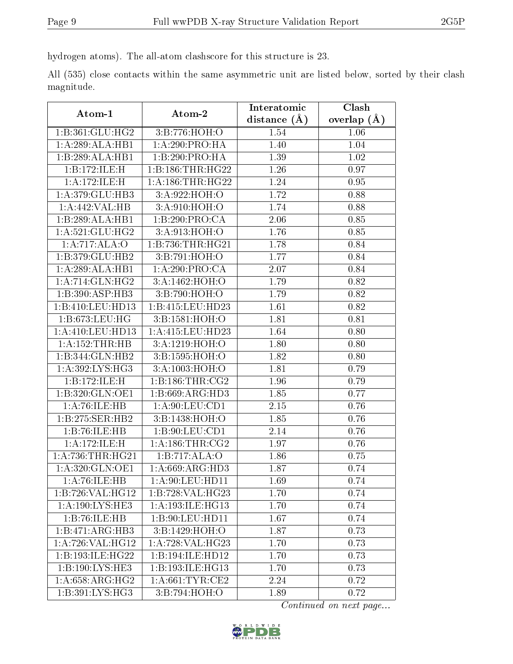hydrogen atoms). The all-atom clashscore for this structure is 23.

All (535) close contacts within the same asymmetric unit are listed below, sorted by their clash magnitude.

| Atom-1               | Atom-2               | Interatomic    | Clash         |
|----------------------|----------------------|----------------|---------------|
|                      |                      | distance $(A)$ | overlap $(A)$ |
| 1:B:361:GLU:HG2      | 3:B:776:HOH:O        | 1.54           | 1.06          |
| 1:A:289:ALA:HB1      | 1:A:290:PRO:HA       | 1.40           | 1.04          |
| 1:B:289:ALA:HB1      | 1:B:290:PRO:HA       | 1.39           | 1.02          |
| 1:B:172:ILE:H        | 1:B:186:THR:HG22     | 1.26           | 0.97          |
| 1:A:172:ILE:H        | 1: A: 186: THR: HG22 | 1.24           | 0.95          |
| 1:A:379:GLU:HB3      | 3:A:922:HOH:O        | 1.72           | 0.88          |
| 1:A:442:VAL:HB       | 3:A:910:HOH:O        | 1.74           | 0.88          |
| 1:B:289:ALA:HB1      | 1:B:290:PRO:CA       | 2.06           | 0.85          |
| 1: A:521: GLU: HG2   | 3:A:913:HOH:O        | 1.76           | 0.85          |
| 1:A:717:ALA:O        | 1:B:736:THR:HG21     | 1.78           | 0.84          |
| 1:B:379:GLU:HB2      | 3:B:791:HOH:O        | 1.77           | 0.84          |
| 1:A:289:ALA:HB1      | 1:A:290:PRO:CR       | 2.07           | 0.84          |
| 1: A:714: GLN: HG2   | 3:A:1462:HOH:O       | 1.79           | 0.82          |
| 1:B:390:ASP:HB3      | 3:B:790:HOH:O        | 1.79           | 0.82          |
| 1:B:410:LEU:HD13     | 1:B:415:LEU:HD23     | 1.61           | 0.82          |
| 1:B:673:LEU:HG       | 3:B:1581:HOH:O       | 1.81           | 0.81          |
| 1: A:410:LEU:HD13    | 1: A: 415: LEU: HD23 | 1.64           | 0.80          |
| 1:A:152:THR:HB       | 3:A:1219:HOH:O       | 1.80           | 0.80          |
| 1:B:344:GLN:HB2      | 3:B:1595:HOH:O       | 1.82           | 0.80          |
| 1: A:392: LYS: HG3   | 3:A:1003:HOH:O       | 1.81           | 0.79          |
| 1:B:172:ILE:H        | 1: B: 186: THR: CG2  | 1.96           | 0.79          |
| 1:B:320:GLN:OE1      | 1:B:669:ARG:HD3      | 1.85           | 0.77          |
| 1:A:76:ILE:HB        | 1: A:90: LEU:CD1     | 2.15           | 0.76          |
| 1:B:275:SER:HB2      | 3:B:1438:HOH:O       | 1.85           | 0.76          |
| 1:B:76:ILE:HB        | 1:B:90:LEU:CD1       | 2.14           | 0.76          |
| 1:A:172:ILE:H        | 1: A:186:THR:CG2     | 1.97           | 0.76          |
| 1: A: 736: THR: HG21 | 1:B:717:ALA:O        | 1.86           | 0.75          |
| 1: A:320: GLN:OE1    | 1:A:669:ARG:HD3      | 1.87           | 0.74          |
| 1:A:76:ILE:HB        | 1:A:90:LEU:HD11      | 1.69           | 0.74          |
| 1:B:726:VAL:HG12     | 1:B:728:VAL:HG23     | 1.70           | 0.74          |
| 1: A: 190: LYS: HE3  | 1:A:193:ILE:HG13     | 1.70           | 0.74          |
| 1:B:76:ILE:HB        | 1:B:90:LEU:HD11      | 1.67           | 0.74          |
| 1:B:471:ARG:HB3      | 3:Bi:1429:HOH:O      | 1.87           | 0.73          |
| 1:A:726:VAL:HG12     | 1:A:728:VAL:HG23     | 1.70           | 0.73          |
| 1:B:193:ILE:HG22     | 1:B:194:ILE:HD12     | 1.70           | 0.73          |
| 1:B:190:LYS:HE3      | 1:B:193:ILE:HG13     | 1.70           | 0.73          |
| 1:A:658:ARG:HG2      | 1: A:661:TYR:CE2     | 2.24           | 0.72          |
| 1:B:391:LYS:HG3      | 3:B:794:HOH:O        | 1.89           | 0.72          |

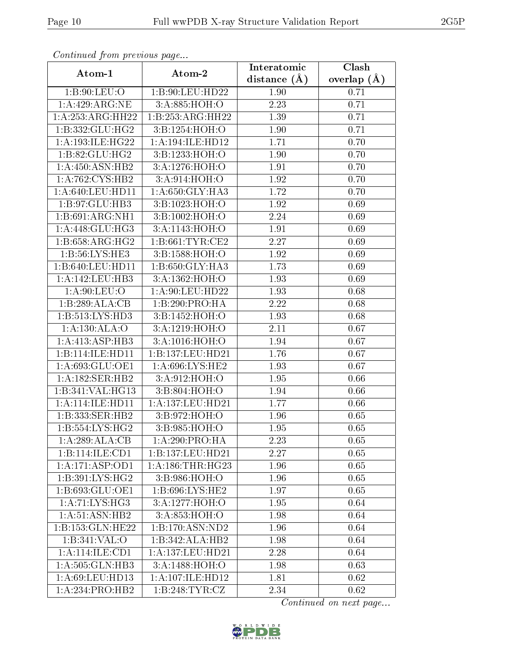| Continuea from previous page     |                      | Interatomic    | Clash         |
|----------------------------------|----------------------|----------------|---------------|
| Atom-1                           | Atom-2               | distance $(A)$ | overlap $(A)$ |
| 1: B:90: LEU:O                   | 1:B:90:LEU:HD22      | 1.90           | 0.71          |
| 1: A:429: ARG: NE                | 3:A:885:HOH:O        | 2.23           | 0.71          |
| 1:A:253:ARG:HH22                 | 1:B:253:ARG:HH22     | 1.39           | 0.71          |
| 1:B:332:GLU:HG2                  | 3:B:1254:HOH:O       | 1.90           | 0.71          |
| 1: A: 193: ILE: HG22             | 1: A:194: ILE: HD12  | 1.71           | 0.70          |
| 1:B:82:GLU:HG2                   | 3:B:1233:HOH:O       | 1.90           | 0.70          |
| 1: A: 450: ASN: HB2              | 3:A:1276:HOH:O       | 1.91           | 0.70          |
| 1:A:762:CYS:HB2                  | 3:A:914:HOH:O        | 1.92           | 0.70          |
| 1: A:640:LEU:HD11                | 1:A:650:GLY:HA3      | 1.72           | 0.70          |
| 1:B:97:GLU:HB3                   | 3:B:1023:HOH:O       | 1.92           | 0.69          |
| $1:B:691:ARG:\overline{NH1}$     | 3:B:1002:HOH:O       | 2.24           | 0.69          |
| 1:A:448:GLU:HG3                  | 3:A:1143:HOH:O       | 1.91           | 0.69          |
| 1:B:658:ARG:HG2                  | 1: B:661: TYR:CE2    | 2.27           | 0.69          |
| 1: B: 56: LYS: HE3               | 3:B:1588:HOH:O       | 1.92           | 0.69          |
| 1:B:640:LEU:HD11                 | 1:B:650:GLY:HA3      | 1.73           | 0.69          |
| 1: A:142:LEU:HB3                 | 3:A:1362:HOH:O       | 1.93           | 0.69          |
| 1: A:90: LEU:O                   | 1:A:90:LEU:HD22      | 1.93           | 0.68          |
| 1:B:289:ALA:CB                   | 1:B:290:PRO:HA       | 2.22           | 0.68          |
| 1:B:513:LYS:HD3                  | 3:B:1452:HOH:O       | 1.93           | 0.68          |
| 1: A: 130: ALA: O                | 3:A:1219:HOH:O       | 2.11           | 0.67          |
| 1:A:413:ASP:HB3                  | 3:A:1016:HOH:O       | 1.94           | 0.67          |
| 1:B:114:ILE:HD11                 | 1:B:137:LEU:HD21     | 1.76           | 0.67          |
| 1:A:693:GLU:OE1                  | 1:A:696:LYS:HE2      | 1.93           | 0.67          |
| 1:A:182:SER:HB2                  | 3:A:912:HOH:O        | 1.95           | 0.66          |
| 1:B:341:VAL:HG13                 | 3:B:804:HOH:O        | 1.94           | 0.66          |
| 1:A:114:ILE:HD11                 | 1:A:137:LEU:HD21     | 1.77           | 0.66          |
| 1:B:333:SER:HB2                  | 3:B:972:HOH:O        | 1.96           | 0.65          |
| $1: B: 554: LYS: H\overline{G2}$ | 3: B:985: HOH:O      | 1.95           | 0.65          |
| 1:A:289:ALA:CB                   | 1: A:290:PRO:HA      | 2.23           | 0.65          |
| 1:B:114:ILE:CD1                  | 1:B:137:LEU:HD21     | 2.27           | 0.65          |
| 1:A:171:ASP:OD1                  | 1: A: 186: THR: HG23 | 1.96           | 0.65          |
| 1:B:391:LYS:HG2                  | 3:B:986:HOH:O        | 1.96           | 0.65          |
| 1: B:693: GLU:OE1                | 1: B:696: LYS: HE2   | 1.97           | 0.65          |
| 1:A:71:LYS:HG3                   | 3:A:1277:HOH:O       | 1.95           | 0.64          |
| 1:A:51:ASN:HB2                   | 3:A:853:HOH:O        | 1.98           | 0.64          |
| 1:B:153:GLN:HE22                 | 1:B:170:ASN:ND2      | 1.96           | 0.64          |
| 1:B:341:VAL:0                    | 1:B:342:ALA:HB2      | 1.98           | 0.64          |
| 1:A:114:ILE:CD1                  | 1:A:137:LEU:HD21     | 2.28           | 0.64          |
| 1:A:505:GLN:HB3                  | 3:A:1488:HOH:O       | 1.98           | 0.63          |
| 1:A:69:LEU:HD13                  | 1: A: 107: ILE: HD12 | 1.81           | 0.62          |
| 1:A:234:PRO:HB2                  | 1:B:248:TYR:CZ       | 2.34           | 0.62          |

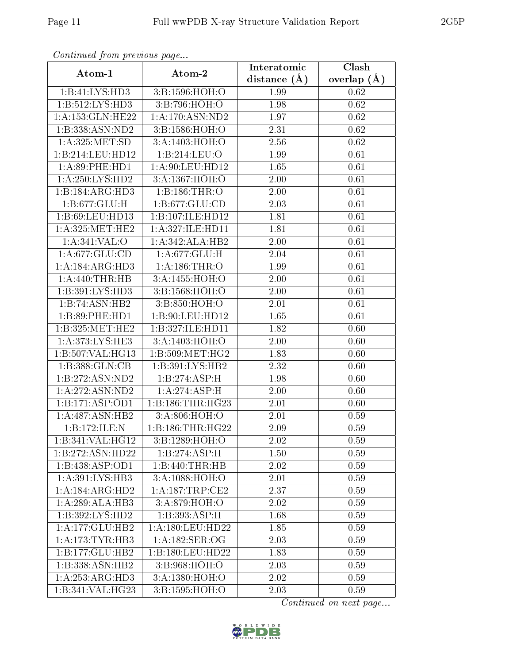| Continuati pont previous page |                            | Interatomic    | Clash           |
|-------------------------------|----------------------------|----------------|-----------------|
| Atom-1                        | Atom-2                     | distance $(A)$ | overlap $(\AA)$ |
| 1:B:41:LYS:HD3                | 3:B:1596:HOH:O             | 1.99           | 0.62            |
| 1: B: 512: LYS: HD3           | 3:B:796:HOH:O              | 1.98           | 0.62            |
| 1:A:153:GLN:HE22              | 1: A:170: ASN: ND2         | 1.97           | 0.62            |
| 1:B:338:ASN:ND2               | 3:B:1586:HOH:O             | 2.31           | 0.62            |
| 1: A:325: MET:SD              | 3:A:1403:HOH:O             | 2.56           | 0.62            |
| 1:B:214:LEU:HD12              | 1:B:214:LEU:O              | 1.99           | 0.61            |
| 1: A:89:PHE:HD1               | 1: A:90: LEU: HD12         | 1.65           | 0.61            |
| 1: A:250: LYS: HD2            | 3:A:1367:HOH:O             | 2.00           | 0.61            |
| 1:B:184:ARG:HD3               | 1:B:186:THR:O              | 2.00           | 0.61            |
| 1:B:677:GLU:H                 | 1:B:677:GLU:CD             | 2.03           | 0.61            |
| 1:B:69:LEU:HD13               | 1:B:107:ILE:HD12           | 1.81           | 0.61            |
| 1: A:325:MET:HE2              | 1: A:327: ILE: HD11        | 1.81           | 0.61            |
| 1:A:341:VAL:O                 | 1:A:342:ALA:HB2            | 2.00           | 0.61            |
| 1:A:677:GLU:CD                | 1: A:677: GLU: H           | 2.04           | 0.61            |
| 1: A:184: ARG:HD3             | 1: A:186:THR:O             | 1.99           | 0.61            |
| 1: A:440:THR:HB               | 3:A:1455:HOH:O             | 2.00           | 0.61            |
| 1:B:391:LYS:HD3               | 3:B:1568:HOH:O             | 2.00           | 0.61            |
| 1:B:74:ASN:HB2                | 3:B:850:HOH:O              | 2.01           | 0.61            |
| 1:B:89:PHE:HD1                | 1:B:90:LEU:HD12            | 1.65           | 0.61            |
| 1: B: 325: MET: HE2           | 1:B:327:ILE:HD11           | 1.82           | 0.60            |
| 1: A:373: LYS: HE3            | 3:A:1403:HOH:O             | 2.00           | 0.60            |
| 1:B:507:VAL:HG13              | 1: B:509: MET:HG2          | 1.83           | 0.60            |
| 1:B:388:GLN:CB                | 1: B:391: LYS: HB2         | 2.32           | 0.60            |
| 1:B:272:ASN:ND2               | 1:B:274:ASP:H              | 1.98           | 0.60            |
| 1: A:272: ASN:ND2             | 1:A:274:ASP:H              | 2.00           | 0.60            |
| 1:B:171:ASP:OD1               | 1: B: 186: THR: HG23       | 2.01           | 0.60            |
| 1: A:487: ASN:HB2             | 3:A:806:HOH:O              | 2.01           | 0.59            |
| 1:B:172:ILE:N                 | 1:B:186:THR:HG22           | 2.09           | 0.59            |
| 1:B:341:VAL:HG12              | 3:B:1289:HOH:O             | 2.02           | 0.59            |
| 1:B:272:ASN:HD22              | 1:B:274:ASP:H              | 1.50           | 0.59            |
| 1:B:438:ASP:OD1               | 1:B:440:THR:HB             | 2.02           | 0.59            |
| 1: A:391: LYS: HB3            | 3:A:1088:HOH:O             | 2.01           | 0.59            |
| 1:A:184:ARG:HD2               | 1:A:187:TRP:CE2            | 2.37           | 0.59            |
| 1:A:289:ALA:HB3               | $3:A:879:H\overline{OH:O}$ | 2.02           | 0.59            |
| 1:B:392:LYS:HD2               | 1:B:393:ASP:H              | 1.68           | 0.59            |
| 1:A:177:GLU:HB2               | 1: A: 180: LEU: HD22       | 1.85           | 0.59            |
| 1:A:173:TYR:HB3               | 1:A:182:SER:OG             | 2.03           | 0.59            |
| 1:B:177:GLU:HB2               | 1:B:180:LEU:HD22           | 1.83           | 0.59            |
| 1:B:338:ASN:HB2               | 3:B:968:HOH:O              | 2.03           | 0.59            |
| 1: A: 253: ARG: HD3           | 3:A:1380:HOH:O             | 2.02           | 0.59            |
| 1:B:341:VAL:HG23              | 3:B:1595:HOH:O             | 2.03           | 0.59            |

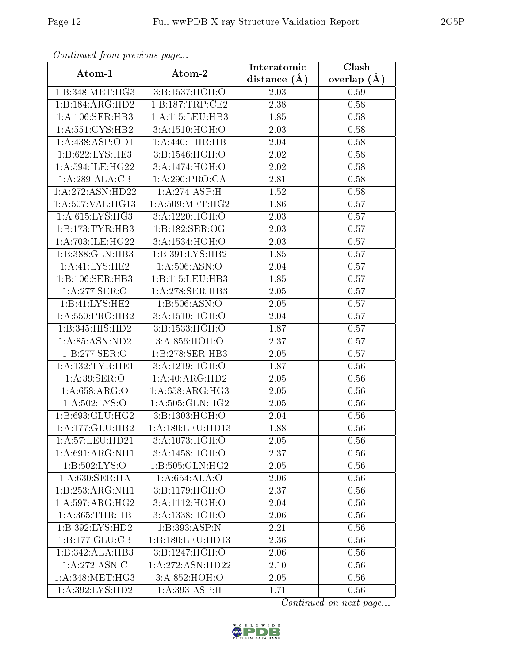| Continuea from previous page |                            | Interatomic      | Clash           |
|------------------------------|----------------------------|------------------|-----------------|
| Atom-1                       | Atom-2                     | distance $(\AA)$ | overlap $(\AA)$ |
| 1:B:348:MET:HG3              | 3:B:1537:HOH:O             | 2.03             | 0.59            |
| 1:B:184:ARG:HD2              | 1:B:187:TRP:CE2            | 2.38             | 0.58            |
| 1: A:106: SER:HB3            | 1: A: 115: LEU: HB3        | 1.85             | 0.58            |
| 1:A:551:CYS:HB2              | 3:A:1510:HOH:O             | 2.03             | 0.58            |
| 1:A:438:ASP:OD1              | 1: A:440:THR:HB            | 2.04             | 0.58            |
| 1:B:622:LYS:HE3              | 3:B:1546:HOH:O             | 2.02             | 0.58            |
| 1: A:594: ILE: HG22          | 3:A:1474:HOH:O             | 2.02             | 0.58            |
| 1:A:289:ALA:CB               | 1:A:290:PRO:CA             | 2.81             | 0.58            |
| 1:A:272:ASN:HD22             | 1:A:274:ASP:H              | 1.52             | 0.58            |
| 1:A:507:VAL:HG13             | 1: A:509:MET:HG2           | 1.86             | 0.57            |
| 1: A:615: LYS: HG3           | 3:A:1220:HOH:O             | 2.03             | 0.57            |
| 1:B:173:TYR:HB3              | 1:B:182:SER:OG             | 2.03             | 0.57            |
| 1:A:703:ILE:HG22             | 3:A:1534:HOH:O             | $2.03\,$         | 0.57            |
| 1:B:388:GLN:HB3              | 1:B:391:LYS:HB2            | 1.85             | 0.57            |
| 1:A:41:LYS:HE2               | 1: A:506: ASN:O            | 2.04             | 0.57            |
| 1:B:106:SER:HB3              | 1: B: 115: LEU: HB3        | 1.85             | 0.57            |
| 1:A:277:SER:O                | 1: A:278: SER:HB3          | 2.05             | 0.57            |
| 1:B:41:LYS:HE2               | 1:B:506:ASN:O              | 2.05             | 0.57            |
| 1: A:550: PRO:HB2            | 3:A:1510:HOH:O             | 2.04             | 0.57            |
| 1:B:345:HIS:HD2              | 3:B:1533:HOH:O             | 1.87             | 0.57            |
| 1: A:85: ASN:ND2             | 3:A:856:HOH:O              | 2.37             | 0.57            |
| 1:B:277:SER:O                | 1:B:278:SER:HB3            | 2.05             | 0.57            |
| 1: A: 132: TYR: HE1          | 3:A:1219:HOH:O             | 1.87             | 0.56            |
| 1: A:39: SER:O               | 1:A:40:ARG:HD2             | 2.05             | $0.56\,$        |
| 1: A:658: ARG:O              | 1: A:658:ARG:HG3           | 2.05             | 0.56            |
| 1:A:502:LYS:O                | 1: A: 505: GLN: HG2        | 2.05             | 0.56            |
| 1:B:693:GLU:HG2              | 3:B:1303:HOH:O             | 2.04             | 0.56            |
| 1:A:177:GLU:HB2              | 1:A:180:LEU:HD13           | 1.88             | 0.56            |
| 1: A:57:LEU:HD21             | 3:A:1073:HOH:O             | 2.05             | 0.56            |
| 1:A:691:ARG:NH1              | 3: A: 1458: HOH:O          | 2.37             | 0.56            |
| 1:B:502:LYS:O                | 1:B:505:GLN:HG2            | 2.05             | 0.56            |
| 1: A:630: SER: HA            | 1:A:654:ALA:O              | 2.06             | 0.56            |
| 1:B:253:ARG:NH1              | 3:B:1179:HOH:O             | 2.37             | 0.56            |
| 1: A:597: ARG: HG2           | 3:A:1112:HOH:O             | 2.04             | 0.56            |
| 1: A:365:THR:HB              | 3:A:1338:HOH:O             | 2.06             | 0.56            |
| 1:B:392:LYS:HD2              | 1:B:393:ASP:N              | 2.21             | 0.56            |
| 1:B:177:GLU:CB               | 1:B:180:LEU:HD13           | 2.36             | 0.56            |
| 1:B:342:ALA:HB3              | 3:B:1247:HOH:O             | 2.06             | 0.56            |
| 1: A:272: ASN:C              | 1:A:272:ASN:HD22           | 2.10             | 0.56            |
| 1: A:348:MET:HG3             | 3:A:852:HOH:O              | 2.05             | 0.56            |
| 1:A:392:LYS:HD2              | $1:A:393:A\overline{SP:H}$ | 1.71             | 0.56            |

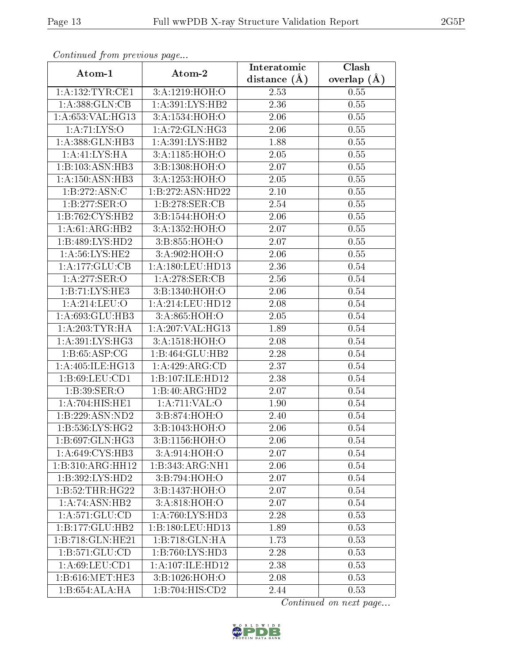| Comunaca jiom previous page    |                              | Interatomic       | Clash         |
|--------------------------------|------------------------------|-------------------|---------------|
| Atom-1                         | Atom-2                       | distance $(A)$    | overlap $(A)$ |
| 1:A:132:TYR:CE1                | 3:A:1219:HOH:O               | 2.53              | 0.55          |
| 1:A:388:GLN:CB                 | 1: A:391: LYS: HB2           | $\overline{2}.36$ | 0.55          |
| 1:A:653:VAL:HG13               | 3:A:1534:HOH:O               | $2.06\,$          | 0.55          |
| 1: A: 71: LYS: O               | 1:A:72:GLN:HG3               | 2.06              | 0.55          |
| 1:A:388: GLN: HB3              | 1: A:391: LYS: HB2           | 1.88              | 0.55          |
| 1: A: 41: LYS: HA              | 3:A:1185:HOH:O               | 2.05              | 0.55          |
| 1:B:103:ASN:HB3                | 3:B:1308:HOH:O               | 2.07              | 0.55          |
| 1: A: 150: ASN: HB3            | 3:A:1253:HOH:O               | 2.05              | 0.55          |
| 1:B:272:ASN:C                  | 1:B:272:ASN:HD22             | 2.10              | 0.55          |
| 1:B:277:SER:O                  | 1:B:278:SER:CB               | 2.54              | 0.55          |
| 1:B:762:CYS:HB2                | 3:B:1544:HOH:O               | 2.06              | 0.55          |
| 1:A:61:ARG:HB2                 | 3:A:1352:HOH:O               | 2.07              | 0.55          |
| 1:B:489:LYS:HD2                | 3:B:855:HOH:O                | 2.07              | 0.55          |
| 1: A:56: LYS: HE2              | 3:A:902:HOH:O                | 2.06              | 0.55          |
| 1:A:177:GLU:CB                 | 1:A:180:LEU:HD13             | 2.36              | 0.54          |
| 1:A:277:SER:O                  | 1: A:278: SER:CB             | 2.56              | 0.54          |
| 1:B:71:LYS:HE3                 | 3:B:1340:HOH:O               | 2.06              | 0.54          |
| 1:A:214:LEU:O                  | 1:A:214:LEU:HD12             | 2.08              | $0.54\,$      |
| 1:A:693:GLU:HB3                | 3:A:865:HOH:O                | 2.05              | 0.54          |
| 1: A:203:TYR:HA                | 1:A:207:VAL:HG13             | 1.89              | $0.54\,$      |
| 1: A:391: LYS: HG3             | 3:A:1518:HOH:O               | 2.08              | 0.54          |
| 1: B: 65: ASP: CG              | 1:B:464:GLU:HB2              | 2.28              | $0.54\,$      |
| 1: A:405: ILE: HG13            | 1:A:429:ARG:CD               | 2.37              | 0.54          |
| 1: B:69: LEU:CD1               | 1:B:107:ILE:HD12             | 2.38              | 0.54          |
| 1:B:39:SER:O                   | 1:B:40:ARG:HD2               | 2.07              | 0.54          |
| 1:A:704:HIS:HE1                | 1:A:711:VAL:O                | 1.90              | 0.54          |
| 1:B:229:ASN:ND2                | 3:B:874:HOH:O                | 2.40              | 0.54          |
| $1: B:536: LY\overline{S:HG2}$ | 3:B:1043:HOH:O               | 2.06              | 0.54          |
| 1:B:697:GLN:HG3                | 3:B:1156:HOH:O               | 2.06              | 0.54          |
| 1:A:649:CYS:HB3                | 3:A:914:HOH:O                | 2.07              | 0.54          |
| 1:B:310:ARG:HH12               | $1:B:343:ARG:\overline{NH1}$ | 2.06              | $0.54\,$      |
| 1:B:392:LYS:HD2                | 3:B:794:HOH:O                | 2.07              | 0.54          |
| 1:B:52:THR:HG22                | 3:B:1437:HOH:O               | 2.07              | 0.54          |
| 1:A:74:ASN:HB2                 | 3:A:818:HOH:O                | 2.07              | 0.54          |
| 1: A:571: GLU:CD               | 1: A:760: LYS: HD3           | 2.28              | 0.53          |
| 1:B:177:GLU:HB2                | 1:B:180:LEU:HD13             | 1.89              | 0.53          |
| 1:B:718:GLN:HE21               | 1:B:718:GLN:HA               | 1.73              | 0.53          |
| 1: B: 571: GLU: CD             | 1:B:760:LYS:HD3              | 2.28              | 0.53          |
| 1: A:69:LEU:CD1                | 1: A: 107: ILE: HD12         | 2.38              | 0.53          |
| 1: B:616:MET:HE3               | 3:B:1026:HOH:O               | 2.08              | 0.53          |
| 1:B:654:ALA:HA                 | 1:B:704:HIS:CD2              | 2.44              | 0.53          |

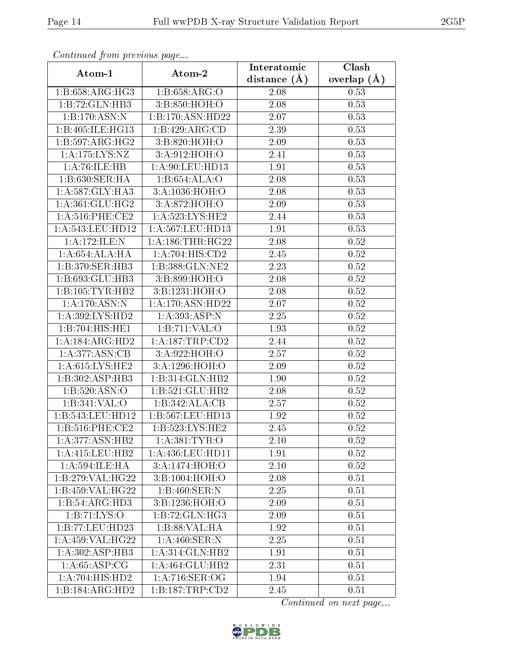| Comunaca jiom previous page  |                      | Interatomic    | Clash           |
|------------------------------|----------------------|----------------|-----------------|
| Atom-1                       | Atom-2               | distance $(A)$ | overlap $(\AA)$ |
| 1:B:658:ARG:HG3              | 1:B:658:ARG:O        | 2.08           | 0.53            |
| 1:B:72:GLN:HB3               | 3:B:850:HOH:O        | 2.08           | 0.53            |
| 1:B:170:ASN:N                | 1:B:170:ASN:HD22     | 2.07           | 0.53            |
| 1:B:405:ILE:HG13             | 1:B:429:ARG:CD       | 2.39           | 0.53            |
| 1:B:597:ARG:HG2              | 3:B:820:HOH:O        | 2.09           | 0.53            |
| 1:A:175:LYS:NZ               | 3:A:912:HOH:O        | 2.41           | 0.53            |
| 1:A:76:ILE:HB                | 1:A:90:LEU:HD13      | 1.91           | 0.53            |
| 1:B:630:SER:HA               | 1:B:654:ALA:O        | 2.08           | 0.53            |
| 1: A:587: GLY: HA3           | 3:A:1036:HOH:O       | 2.08           | 0.53            |
| 1: A:361: GLU:HG2            | 3:A:872:HOH:O        | 2.09           | 0.53            |
| $1: A:516:$ PHE:CE2          | 1: A:523: LYS: HE2   | 2.44           | 0.53            |
| 1: A:543: LEU: HD12          | 1:A:567:LEU:HD13     | 1.91           | 0.53            |
| 1:A:172:ILE:N                | 1: A: 186: THR: HG22 | 2.08           | 0.52            |
| 1: A:654: ALA:HA             | 1:A:704:HIS:CD2      | 2.45           | 0.52            |
| 1:B:370:SER:HB3              | 1:B:388:GLN:NE2      | 2.23           | 0.52            |
| 1:B:693:GLU:HB3              | 3: B:899:HOH:O       | 2.08           | 0.52            |
| 1:B:105:TYR:HB2              | 3:B:1231:HOH:O       | 2.08           | 0.52            |
| 1:A:170:ASN:N                | 1:A:170:ASN:HD22     | 2.07           | 0.52            |
| 1:A:392:LYS:HD2              | 1:A:393:ASP:N        | 2.25           | 0.52            |
| 1:B:704:HIS:HE1              | 1:B:711:VAL:O        | 1.93           | 0.52            |
| 1:A:184:ARG:HD2              | 1: A: 187: TRP: CD2  | 2.44           | 0.52            |
| 1: A:377: ASN: CB            | 3:A:922:HOH:O        | 2.57           | 0.52            |
| 1: A:615: LYS: HE2           | 3:A:1296:HOH:O       | 2.09           | 0.52            |
| 1:B:302:ASP:HB3              | 1:B:314:GLN:HB2      | 1.90           | $0.52\,$        |
| 1:B:520:ASN:O                | 1:B:521:GLU:HB2      | 2.08           | 0.52            |
| 1:B:341:VAL:O                | 1:B:342:ALA:CB       | 2.57           | 0.52            |
| 1:B:543:LEU:HD12             | 1:B:567:LEU:HD13     | 1.92           | 0.52            |
| 1: B:516: PHE:CE2            | 1:B:523:LYS:HE2      | 2.45           | 0.52            |
| 1: A:377: ASN:HB2            | 1: A: 381: TYR: O    | 2.10           | 0.52            |
| 1: A: 415: LEU: HB2          | 1:A:436:LEU:HD11     | 1.91           | 0.52            |
| 1: A: 594: ILE: HA           | 3:A:1474:HOH:O       | 2.10           | 0.52            |
| 1:B:279:VAL:HG22             | 3:B:1004:HOH:O       | 2.08           | 0.51            |
| 1:B:459:VAL:HG22             | 1:B:460:SER:N        | 2.25           | 0.51            |
| 1:B:54:ARG:HD3               | 3:B:1236:HOH:O       | 2.09           | 0.51            |
| 1: B: 71: LYS: O             | 1:B:72:GLN:HG3       | 2.09           | 0.51            |
| 1:B:77:LEU:HD23              | 1:B:88:VAL:HA        | 1.92           | 0.51            |
| 1:A:459:VAL:HG22             | 1: A:460: SER: N     | 2.25           | 0.51            |
| $1:A:302:AS\overline{P:HB3}$ | 1:A:314:GLN:HB2      | 1.91           | 0.51            |
| 1: A:65:ASP:CG               | 1:A:464:GLU:HB2      | 2.31           | 0.51            |
| 1: A:704: HIS: HD2           | 1: A:716: SER:OG     | 1.94           | 0.51            |
| 1:B:184:ARG:HD2              | 1:B:187:TRP:CD2      | 2.45           | 0.51            |

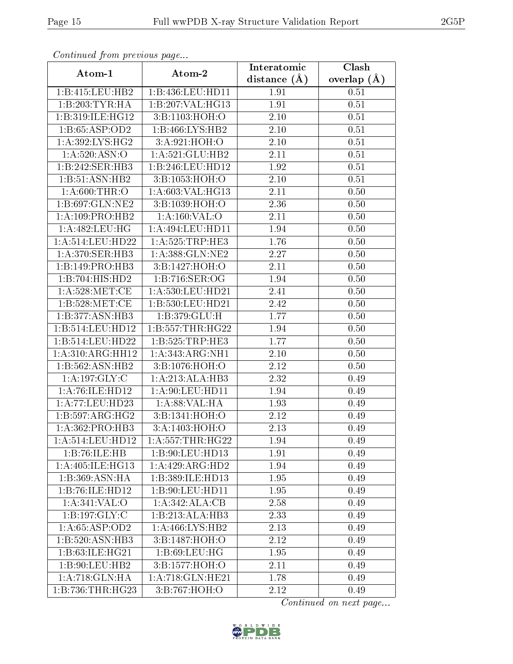| Comunaca jiom previous page |                      | Interatomic    | Clash         |
|-----------------------------|----------------------|----------------|---------------|
| Atom-1                      | Atom-2               | distance $(A)$ | overlap $(A)$ |
| 1:B:415:LEU:HB2             | 1:B:436:LEU:HD11     | 1.91           | 0.51          |
| 1:B:203:TYR:HA              | 1:B:207:VAL:HG13     | 1.91           | 0.51          |
| 1:B:319:ILE:HG12            | 3:Bi:1103:HOH:O      | 2.10           | 0.51          |
| 1:B:65:ASP:OD2              | 1:B:466:LYS:HB2      | 2.10           | 0.51          |
| 1:A:392:LYS:HG2             | 3:A:921:HOH:O        | 2.10           | 0.51          |
| 1: A:520: ASN:O             | 1: A:521: GLU:HB2    | 2.11           | 0.51          |
| 1:B:242:SER:HB3             | 1:B:246:LEU:HD12     | 1.92           | 0.51          |
| 1:B:51:ASN:HB2              | 3:B:1053:HOH:O       | 2.10           | 0.51          |
| 1: A:600:THR:O              | 1:A:603:VAL:HG13     | 2.11           | 0.50          |
| 1:B:697:GLN:NE2             | 3:B:1039:HOH:O       | 2.36           | 0.50          |
| 1: A: 109: PRO: HB2         | 1:A:160:VAL:O        | 2.11           | 0.50          |
| 1:A:482:LEU:HG              | 1:A:494:LEU:HD11     | 1.94           | 0.50          |
| 1:A:514:LEU:HD22            | 1: A:525:TRP:HE3     | 1.76           | 0.50          |
| 1: A:370: SER: HB3          | 1: A: 388: GLN: NE2  | 2.27           | 0.50          |
| 1:B:149:PRO:HB3             | 3:B:1427:HOH:O       | 2.11           | 0.50          |
| 1:B:704:HIS:HD2             | 1:B:716:SER:OG       | 1.94           | 0.50          |
| 1: A:528: MET:CE            | 1:A:530:LEU:HD21     | 2.41           | 0.50          |
| 1: B:528:MET:CE             | 1:B:530:LEU:HD21     | 2.42           | 0.50          |
| 1:B:377:ASN:HB3             | 1:B:379:GLU:H        | 1.77           | 0.50          |
| 1:B:514:LEU:HD12            | 1: B: 557: THR: HG22 | 1.94           | 0.50          |
| 1:B:514:LEU:HD22            | 1:B:525:TRP:HE3      | 1.77           | 0.50          |
| 1:A:310:ARG:HH12            | 1: A: 343:ARG:NH1    | 2.10           | 0.50          |
| 1:B:562:ASN:HB2             | 3:B:1076:HOH:O       | 2.12           | 0.50          |
| 1:A:197:GLY:C               | 1:A:213:ALA:HB3      | 2.32           | 0.49          |
| 1:A:76:ILE:HD12             | 1: A:90: LEU: HD11   | 1.94           | 0.49          |
| 1:A:77:LEU:HD23             | 1: A:88: VAL:HA      | 1.93           | 0.49          |
| 1:B:597:ARG:HG2             | 3:B:1341:HOH:O       | 2.12           | 0.49          |
| 1: A: 362: PRO: HB3         | 3:A:1403:HOH:O       | 2.13           | 0.49          |
| 1: A:514:LEU:HD12           | 1: A: 557: THR: HG22 | 1.94           | 0.49          |
| 1:B:76:ILE:HB               | 1:B:90:LEU:HD13      | 1.91           | 0.49          |
| 1: A:405: ILE: HG13         | 1:A:429:ARG:HD2      | 1.94           | 0.49          |
| 1:B:369:ASN:HA              | 1:B:389:ILE:HD13     | 1.95           | 0.49          |
| 1:B:76:ILE:HD12             | 1:B:90:LEU:HD11      | 1.95           | 0.49          |
| 1:A:341:VAL:O               | 1:A:342:ALA:CB       | 2.58           | 0.49          |
| 1:B:197:GLY:C               | 1:B:213:ALA:HB3      | 2.33           | 0.49          |
| 1:A:65:ASP:OD2              | 1: A:466: LYS: HB2   | 2.13           | 0.49          |
| 1:B:520:ASN:HB3             | 3:B:1487:HOH:O       | 2.12           | 0.49          |
| 1:B:63:ILE:HG21             | 1: B:69: LEU: HG     | 1.95           | 0.49          |
| 1:B:90:LEU:HB2              | 3:B:1577:HOH:O       | 2.11           | 0.49          |
| 1:A:718:GLN:HA              | 1:A:718:GLN:HE21     | 1.78           | 0.49          |
| 1:B:736:THR:HG23            | 3:B:767:HOH:O        | 2.12           | 0.49          |

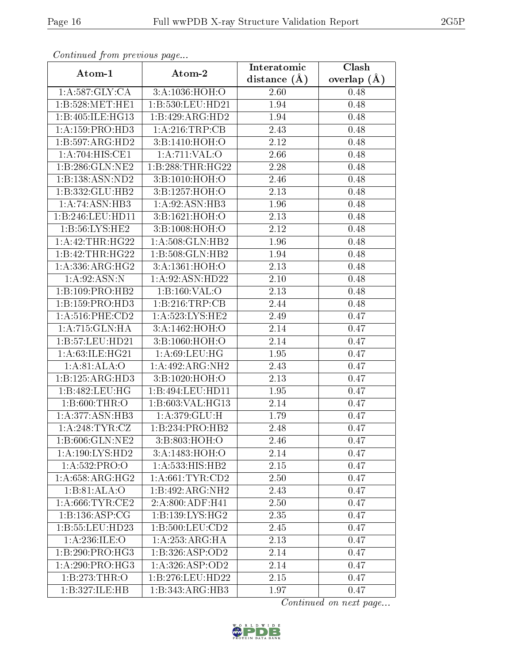| Continued from previous page |                                       | Interatomic       | Clash           |
|------------------------------|---------------------------------------|-------------------|-----------------|
| Atom-1                       | Atom-2                                | distance $(\AA)$  | overlap $(\AA)$ |
| 1: A:587: GLY: CA            | 3:A:1036:HOH:O                        | 2.60              | 0.48            |
| 1:B:528:MET:HE1              | 1:B:530:LEU:HD21                      | 1.94              | 0.48            |
| 1:B:405:ILE:HG13             | 1:B:429:ARG:HD2                       | 1.94              | 0.48            |
| 1:A:159:PRO:HD3              | 1: A:216:TRP:CB                       | 2.43              | 0.48            |
| 1:B:597:ARG:HD2              | 3:B:1410:HOH:O                        | 2.12              | 0.48            |
| 1:A:704:HIS:CE1              | 1:A:711:VAL:O                         | 2.66              | 0.48            |
| 1:B:286:GLN:NE2              | 1:B:288:THR:HG22                      | 2.28              | 0.48            |
| 1:B:138:ASN:ND2              | 3: B: 1010: HOH:O                     | 2.46              | 0.48            |
| 1:B:332:GLU:HB2              | 3:B:1257:HOH:O                        | 2.13              | 0.48            |
| 1:A:74:ASN:HB3               | 1:A:92:ASN:HB3                        | 1.96              | 0.48            |
| 1:B:246:LEU:HD11             | 3:B:1621:HOH:O                        | 2.13              | 0.48            |
| 1: B:56: LYS: HE2            | 3:B:1008:HOH:O                        | 2.12              | 0.48            |
| 1:A:42:THR:HG22              | 1: A:508: GLN: HB2                    | 1.96              | 0.48            |
| 1:B:42:THR:HG22              | 1:B:508:GLN:HB2                       | 1.94              | 0.48            |
| 1: A: 336: ARG: HG2          | 3:A:1361:HOH:O                        | 2.13              | 0.48            |
| 1: A:92: ASN: N              | 1:A:92:ASN:HD22                       | 2.10              | 0.48            |
| 1:B:109:PRO:HB2              | 1: B: 160: VAL: O                     | $\overline{2}.13$ | 0.48            |
| 1: B: 159: PRO: HD3          | 1:B:216:TRP:CB                        | 2.44              | 0.48            |
| 1: A:516:PHE:CD2             | 1:A:523:LYS:HE2                       | 2.49              | 0.47            |
| 1:A:715:GLN:HA               | 3:A:1462:HOH:O                        | 2.14              | 0.47            |
| 1:B:57:LEU:HD21              | 3:B:1060:HOH:O                        | 2.14              | 0.47            |
| 1:A:63:ILE:HG21              | 1: A:69:LEU:HG                        | 1.95              | 0.47            |
| 1: A:81: ALA:O               | 1:A:492:ARG:NH2                       | 2.43              | 0.47            |
| 1:B:125:ARG:HD3              | 3:B:1020:HOH:O                        | 2.13              | 0.47            |
| 1:B:482:LEU:HG               | 1:B:494:LEU:HD11                      | 1.95              | 0.47            |
| 1:B:600:THR:O                | 1:B:603:VAL:HG13                      | 2.14              | 0.47            |
| 1: A:377: ASN:HB3            | 1:A:379:GLU:H                         | 1.79              | 0.47            |
| 1:A:248:TYR:CZ               | 1:B:234:PRO:HB2                       | 2.48              | 0.47            |
| 1:B:606:GLN:NE2              | 3:B:803:HOH:O                         | 2.46              | 0.47            |
| 1:A:190:LYS:HD2              | 3:A:1483:HOH:O                        | 2.14              | 0.47            |
| 1:A:532:PRO:O                | 1:A:533:HIS:HB2                       | 2.15              | 0.47            |
| 1:A:658:ARG:HG2              | 1: A:661:TYR:CD2                      | 2.50              | 0.47            |
| 1:B:81:ALA:O                 | 1:B:492:ARG:NH2                       | 2.43              | 0.47            |
| 1: A:666:TYR:CE2             | $2:A:800:A\overline{\mathrm{DF:H41}}$ | 2.50              | 0.47            |
| 1:B:136:ASP:CG               | 1: B: 139: LYS: HG2                   | 2.35              | 0.47            |
| 1:B:55:LEU:HD23              | 1:B:500:LEU:CD2                       | 2.45              | 0.47            |
| 1: A:236: ILE:O              | 1:A:253:ARG:HA                        | 2.13              | 0.47            |
| 1:B:290:PRO:HG3              | 1:B:326:ASP:OD2                       | 2.14              | 0.47            |
| 1: A:290: PRO:HG3            | 1: A:326: ASP:OD2                     | 2.14              | 0.47            |
| 1:B:273:THR:O                | 1:B:276:LEU:HD22                      | 2.15              | 0.47            |
| 1:B:327:ILE:HB               | 1:B:343:ARG:HB3                       | 1.97              | 0.47            |

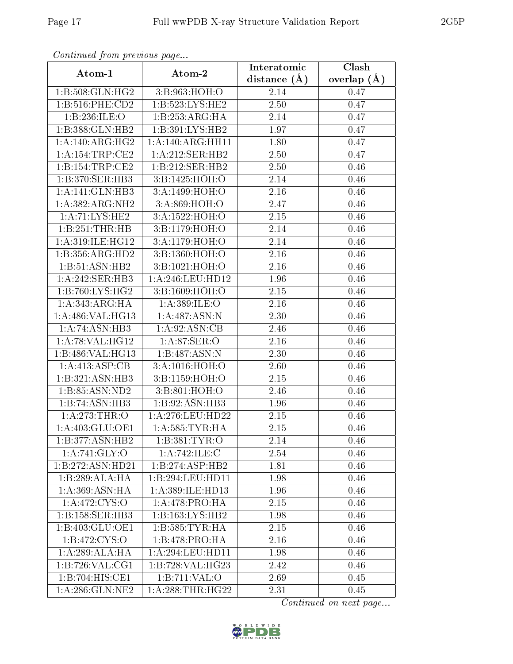| Continued from previous page |                               | Interatomic    | Clash           |
|------------------------------|-------------------------------|----------------|-----------------|
| Atom-1                       | Atom-2                        | distance $(A)$ | overlap $(\AA)$ |
| 1:B:508:GLN:HG2              | 3:B:963:HOH:O                 | 2.14           | 0.47            |
| $1: B:516:$ PHE:CD2          | 1: B:523: LYS: HE2            | 2.50           | 0.47            |
| 1:B:236:ILE:O                | 1:B:253:ARG:HA                | 2.14           | 0.47            |
| 1:B:388:GLN:HB2              | 1:B:391:LYS:HB2               | 1.97           | 0.47            |
| 1:A:140:ARG:HG2              | 1:A:140:ARG:HH11              | 1.80           | 0.47            |
| 1: A:154:TRP:CE2             | 1:A:212:SER:HB2               | 2.50           | 0.47            |
| 1:B:154:TRP:CE2              | 1:B:212:SER:HB2               | 2.50           | 0.46            |
| 1:B:370:SER:HB3              | 3:B:1425:HOH:O                | 2.14           | 0.46            |
| 1:A:141:GLN:HB3              | 3:A:1499:HOH:O                | 2.16           | 0.46            |
| 1:A:382:ARG:NH2              | 3:A:869:HOH:O                 | 2.47           | 0.46            |
| 1:A:71:LYS:HE2               | 3:A:1522:HOH:O                | 2.15           | 0.46            |
| 1:B:251:THR:HB               | 3:B:1179:HOH:O                | 2.14           | 0.46            |
| 1:A:319:ILE:HG12             | 3:A:1179:HOH:O                | 2.14           | 0.46            |
| 1:B:356:ARG:HD2              | 3:B:1360:HOH:O                | 2.16           | 0.46            |
| 1:B:51:ASN:HB2               | 3:B:1021:HOH:O                | 2.16           | 0.46            |
| 1:A:242:SER:HB3              | 1:A:246:LEU:HD12              | 1.96           | 0.46            |
| 1:B:760:LYS:HG2              | 3:B:1609:HOH:O                | 2.15           | 0.46            |
| 1:A:343:ARG:HA               | 1: A:389: ILE: O              | 2.16           | 0.46            |
| 1:A:486:VAL:HG13             | 1: A:487: A <sub>SN</sub> : N | 2.30           | 0.46            |
| 1:A:74:ASN:HB3               | 1:A:92:ASN:CB                 | 2.46           | 0.46            |
| 1: A:78: VAL:HG12            | 1: A:87: SER:O                | 2.16           | 0.46            |
| 1:B:486:VAL:HG13             | 1:B:487:ASN:N                 | 2.30           | 0.46            |
| 1: A:413: ASP:CB             | 3: A:1016:HOH:O               | 2.60           | 0.46            |
| 1:B:321:ASN:HB3              | 3:B:1159:HOH:O                | 2.15           | 0.46            |
| 1:B:85:ASN:ND2               | 3:B:801:HOH:O                 | 2.46           | 0.46            |
| 1:B:74:ASN:HB3               | 1:B:92:ASN:HB3                | 1.96           | 0.46            |
| 1: A:273:THR:O               | 1: A:276:LEU:HD22             | 2.15           | 0.46            |
| 1: A:403: GLU:OE1            | 1: A: 585: TYR: HA            | 2.15           | 0.46            |
| 1:B:377:ASN:HB2              | 1:B:381:TYR:O                 | 2.14           | 0.46            |
| 1:A:741:GLY:O                | 1:A:742:ILE:C                 | 2.54           | 0.46            |
| 1:B:272:ASN:HD21             | 1:B:274:ASP:HB2               | 1.81           | 0.46            |
| 1:B:289:ALA:HA               | 1:B:294:LEU:HD11              | 1.98           | 0.46            |
| 1: A:369: ASN: HA            | 1:A:389:ILE:HD13              | 1.96           | 0.46            |
| 1:A:472:CYS:O                | 1: A:478: PRO:HA              | 2.15           | 0.46            |
| 1:B:158:SER:HB3              | 1:B:163:LYS:HB2               | 1.98           | 0.46            |
| 1:B:403:GLU:OE1              | 1: B: 585: TYR: HA            | 2.15           | 0.46            |
| 1: B: 472: CYS: 0            | 1:B:478:PRO:HA                | 2.16           | 0.46            |
| 1: A:289:ALA:HA              | 1:A:294:LEU:HD11              | 1.98           | 0.46            |
| 1:B:726:VAL:CG1              | 1:B:728:VAL:HG23              | 2.42           | 0.46            |
| 1:B:704:HIS:CE1              | 1:B:711:VAL:O                 | 2.69           | 0.45            |
| 1: A:286: GLN:NE2            | 1: A:288:THR:HG22             | 2.31           | 0.45            |

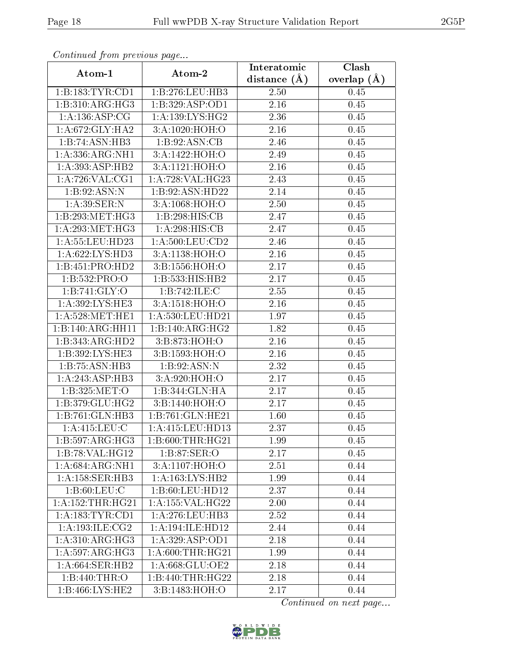| Continuea from previous page |                              | Interatomic       | $\overline{\text{Clash}}$ |
|------------------------------|------------------------------|-------------------|---------------------------|
| Atom-1                       | Atom-2                       | distance $(A)$    | overlap $(A)$             |
| 1:B:183:TYR:CD1              | 1:B:276:LEU:HB3              | 2.50              | 0.45                      |
| 1:B:310:ARG:HG3              | 1:B:329:ASP:OD1              | $\overline{2.16}$ | 0.45                      |
| 1: A: 136: ASP: CG           | 1: A: 139: LYS: HG2          | 2.36              | 0.45                      |
| 1: A:672: GLY: HA2           | 3:A:1020:HOH:O               | 2.16              | 0.45                      |
| 1:B:74:ASN:HB3               | 1: B:92: ASN:CB              | 2.46              | 0.45                      |
| 1:A:336:ARG:NH1              | 3:A:1422:HOH:O               | 2.49              | 0.45                      |
| 1: A:393:ASP:HB2             | 3:A:1121:HOH:O               | 2.16              | $0.45\,$                  |
| 1:A:726:VAL:CG1              | 1:A:728:VAL:HG23             | 2.43              | 0.45                      |
| 1:B:92:ASN:N                 | 1:B:92:ASN:HD22              | 2.14              | 0.45                      |
| 1: A:39: SER: N              | 3:A:1068:HOH:O               | 2.50              | 0.45                      |
| 1:B:293:MET:HG3              | 1:B:298:HIS:CB               | 2.47              | 0.45                      |
| 1: A:293:MET:HG3             | $1:A:298:\overline{HIS:CB}$  | 2.47              | 0.45                      |
| 1:A:55:LEU:HD23              | 1: A:500:LEU:CD2             | 2.46              | 0.45                      |
| 1: A:622: LYS: HD3           | 3:A:1138:HOH:O               | 2.16              | 0.45                      |
| 1:B:451:PRO:HD2              | 3:B:1556:HOH:O               | 2.17              | 0.45                      |
| 1:B:532:PRO:O                | $1:B:533:HIS:H\overline{B2}$ | 2.17              | 0.45                      |
| 1: B:741: GLY:O              | 1:B:742:ILE:C                | 2.55              | 0.45                      |
| 1:A:392:LYS:HE3              | 3:A:1518:HOH:O               | 2.16              | 0.45                      |
| 1: A:528:MET:HE1             | 1:A:530:LEU:HD21             | 1.97              | 0.45                      |
| 1:B:140:ARG:HH11             | 1:B:140:ARG:HG2              | 1.82              | 0.45                      |
| 1:B:343:ARG:HD2              | 3:B:873:HOH:O                | 2.16              | 0.45                      |
| 1:B:392:LYS:HE3              | 3:B:1593:HOH:O               | 2.16              | 0.45                      |
| 1:B:75:ASN:HB3               | 1:B:92:ASN:N                 | 2.32              | 0.45                      |
| 1:A:243:ASP:HB3              | 3:A:920:HOH:O                | 2.17              | 0.45                      |
| 1:B:325:MET:O                | 1:B:344:GLN:HA               | 2.17              | 0.45                      |
| 1:B:379:GLU:HG2              | 3:Bi:1440:HOH:O              | 2.17              | 0.45                      |
| 1:B:761:GLN:HB3              | 1:B:761:GLN:HE21             | 1.60              | 0.45                      |
| 1: A:415: LEU: C             | 1: A: 415: LEU: HD13         | 2.37              | 0.45                      |
| 1:B:597:ARG:HG3              | 1: B:600:THR:HG21            | 1.99              | 0.45                      |
| 1:B:78:VAL:HG12              | 1:B:87:SER:O                 | 2.17              | 0.45                      |
| 1:A:684:ARG:NH1              | 3:A:1107:HOH:O               | 2.51              | 0.44                      |
| 1: A:158: SER:HB3            | 1: A: 163: LYS: HB2          | 1.99              | 0.44                      |
| 1: B:60:LEU:C                | 1:B:60:LEU:HD12              | 2.37              | 0.44                      |
| 1: A: 152: THR: HG21         | 1:A:155:VAL:HG22             | 2.00              | 0.44                      |
| 1: A: 183: TYR: CD1          | 1: A:276:LEU:HB3             | 2.52              | 0.44                      |
| 1: A:193: ILE: CG2           | 1:A:194:ILE:HD12             | 2.44              | 0.44                      |
| 1: A:310:ARG:HG3             | 1: A:329: ASP:OD1            | 2.18              | 0.44                      |
| 1: A:597: ARG: HG3           | 1: A:600:THR:HG21            | 1.99              | 0.44                      |
| 1: A:664:SER:HB2             | 1:A:668:GLU:OE2              | 2.18              | 0.44                      |
| 1:B:440:THR:O                | 1:B:440:THR:HG22             | 2.18              | 0.44                      |
| 1:B:466:LYS:HE2              | 3:B:1483:HOH:O               | 2.17              | 0.44                      |

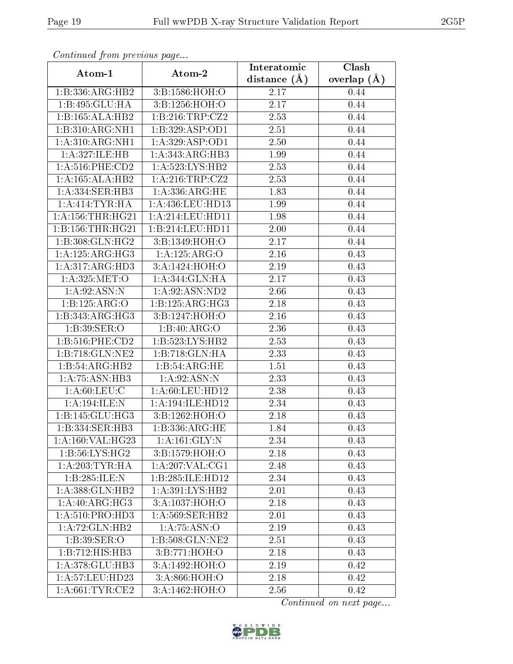| Commuca from previous page   |                                                 | Interatomic       | Clash           |
|------------------------------|-------------------------------------------------|-------------------|-----------------|
| Atom-1                       | Atom-2                                          | distance $(A)$    | overlap $(\AA)$ |
| 1:B:336:ARG:HB2              | 3:B:1586:HOH:O                                  | 2.17              | 0.44            |
| 1:B:495:GLU:HA               | 3:B:1256:HOH:O                                  | 2.17              | 0.44            |
| 1:B:165:ALA:HB2              | 1: B:216:TRP: CZ2                               | 2.53              | 0.44            |
| 1:B:310:ARG:NH1              | 1:B:329:ASP:OD1                                 | 2.51              | 0.44            |
| 1:A:310:ARG:NH1              | 1: A:329: ASP:OD1                               | 2.50              | 0.44            |
| 1:A:327:ILE:HB               | 1:A:343:ARG:HB3                                 | 1.99              | 0.44            |
| $1: A:516:$ PHE: $CD2$       | 1: A:523: LYS: HB2                              | 2.53              | 0.44            |
| 1:A:165:ALA:HB2              | 1: A:216:TRP: CZ2                               | 2.53              | 0.44            |
| 1:A:334:SER:HB3              | 1: A: 336: ARG: HE                              | 1.83              | 0.44            |
| 1: A:414:TYR:HA              | 1: A: 436: LEU: HD13                            | 1.99              | 0.44            |
| 1: A: 156: THR: HG21         | 1:A:214:LEU:HD11                                | 1.98              | 0.44            |
| 1:B:156:THR:HG21             | 1:B:214:LEU:HD11                                | 2.00              | 0.44            |
| 1:B:308:GLN:HG2              | 3:B:1349:HOH:O                                  | 2.17              | 0.44            |
| 1:A:125:ARG:HG3              | 1:A:125:ARG:O                                   | 2.16              | 0.43            |
| 1: A:317: ARG:HD3            | 3:A:1424:HOH:O                                  | 2.19              | 0.43            |
| 1: A:325: MET:O              | 1:A:344:GLN:HA                                  | 2.17              | 0.43            |
| 1: A:92: ASN: N              | 1:A:92:ASN:ND2                                  | 2.66              | 0.43            |
| 1:B:125:ARG:O                | 1:B:125:ARG:HG3                                 | 2.18              | 0.43            |
| 1:B:343:ARG:HG3              | 3:B:1247:HOH:O                                  | 2.16              | 0.43            |
| 1:B:39:SER:O                 | 1:B:40:ARG:O                                    | 2.36              | 0.43            |
| $1: B:516:$ PHE:CD2          | 1:B:523:LYS:HB2                                 | 2.53              | 0.43            |
| 1:B:718:GLN:NE2              | 1:B:718:GLN:HA                                  | 2.33              | 0.43            |
| 1:B:54:ARG:HB2               | 1:B:54:ARG:HE                                   | 1.51              | 0.43            |
| 1:A:75:ASN:HB3               | 1: A:92: ASN:N                                  | 2.33              | 0.43            |
| 1: A:60: LEU: C              | 1: A:60:LEU:HD12                                | 2.38              | 0.43            |
| 1:A:194:ILE:N                | 1:A:194:ILE:HD12                                | $\overline{2}.34$ | 0.43            |
| 1:B:145:GLU:HG3              | 3:B:1262:HOH:O                                  | 2.18              | 0.43            |
| 1:B:334:SER:HB3              | 1:B:336:ARG:HE                                  | 1.84              | 0.43            |
| 1:A:160:VAL:HG23             | 1:A:161:GLY:N                                   | 2.34              | 0.43            |
| 1: B: 56: LYS: HG2           | 3:B:1579:HOH:O                                  | 2.18              | 0.43            |
| 1: A:203:TYR:HA              | $1:\!A:\!207:\!V\!AL:\!\overline{\mathrm{CG1}}$ | 2.48              | 0.43            |
| 1:B:285:ILE:N                | 1:B:285:ILE:HD12                                | 2.34              | 0.43            |
| 1:A:388:GLN:HB2              | $1:A:391:LY\overline{S:HB2}$                    | 2.01              | 0.43            |
| 1:A:40:ARG:HG3               | 3:A:1037:HOH:O                                  | 2.18              | 0.43            |
| 1: A:510:PRO:H <sub>D3</sub> | 1: A:569: SER:HB2                               | 2.01              | 0.43            |
| 1:A:72:GLN:HB2               | 1:A:75:ASN:O                                    | 2.19              | 0.43            |
| 1:B:39:SER:O                 | 1:B:508:GLN:NE2                                 | 2.51              | 0.43            |
| 1:B:712:HIS:HB3              | $3:B:771:\overline{HOH:O}$                      | 2.18              | 0.43            |
| 1:A:378:GLU:HB3              | 3:A:1492:HOH:O                                  | 2.19              | 0.42            |
| 1:A:57:LEU:HD23              | 3:A:866:HOH:O                                   | 2.18              | 0.42            |
| 1: A:661:TYR:CE2             | 3:A:1462:HOH:O                                  | 2.56              | 0.42            |

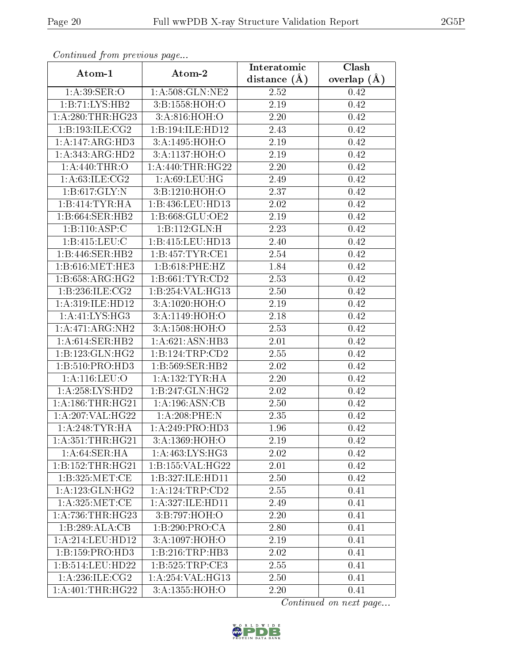| Commuca from previous page |                     | Interatomic       | Clash         |
|----------------------------|---------------------|-------------------|---------------|
| Atom-1                     | Atom-2              | distance $(A)$    | overlap $(A)$ |
| 1:A:39:SER:O               | 1: A:508: GLN: NE2  | 2.52              | 0.42          |
| 1:B:71:LYS:HB2             | 3:B:1558:HOH:O      | 2.19              | 0.42          |
| 1:A:280:THR:HG23           | 3:A:816:HOH:O       | 2.20              | 0.42          |
| 1:B:193:ILE:CG2            | 1:B:194:ILE:HD12    | 2.43              | 0.42          |
| 1:A:147:ARG:HD3            | 3:A:1495:HOH:O      | $2.19\,$          | 0.42          |
| 1: A: 343: ARG: HD2        | 3:A:1137:HOH:O      | 2.19              | 0.42          |
| 1: A:440:THR:O             | 1: A:440:THR:HG22   | 2.20              | 0.42          |
| 1: A:63: ILE: CG2          | 1: A:69:LEU:HG      | 2.49              | 0.42          |
| 1: B: 617: GLY:N           | 3:B:1210:HOH:O      | 2.37              | 0.42          |
| 1:B:414:TYR:HA             | 1:B:436:LEU:HD13    | 2.02              | 0.42          |
| 1:B:664:SER:HB2            | 1:B:668:GLU:OE2     | 2.19              | 0.42          |
| 1:B:110:ASP:C              | 1:B:112:GLN:H       | 2.23              | 0.42          |
| 1:B:415:LEU:C              | 1:B:415:LEU:HD13    | 2.40              | 0.42          |
| 1:B:446:SER:HB2            | 1:B:457:TYR:CE1     | 2.54              | 0.42          |
| 1:B:616:MET:HE3            | 1:B:618:PHE:HZ      | 1.84              | 0.42          |
| 1:B:658:ARG:HG2            | 1: B: 661: TYR: CD2 | 2.53              | 0.42          |
| 1:B:236:ILE:CG2            | 1:B:254:VAL:HG13    | 2.50              | 0.42          |
| 1:A:319:ILE:HD12           | 3:A:1020:HOH:O      | 2.19              | 0.42          |
| 1:A:41:LYS:HG3             | 3:A:1149:HOH:O      | 2.18              | 0.42          |
| 1:A:471:ARG:NH2            | 3: A:1508:HOH:O     | 2.53              | 0.42          |
| 1: A:614: SER: HB2         | 1:A:621:ASN:HB3     | 2.01              | 0.42          |
| 1:B:123:GLN:HG2            | 1:B:124:TRP:CD2     | $2.55\,$          | 0.42          |
| 1:B:510:PRO:HD3            | 1:B:569:SER:HB2     | 2.02              | 0.42          |
| 1: A:116: LEU:O            | 1: A: 132: TYR: HA  | $\overline{2}.20$ | 0.42          |
| 1:A:258:LYS:HD2            | 1:B:247:GLN:HG2     | 2.02              | 0.42          |
| 1: A: 186: THR: HG21       | 1:A:196:ASN:CB      | <b>2.50</b>       | 0.42          |
| 1:A:207:VAL:HG22           | 1:A:208:PHE:N       | 2.35              | 0.42          |
| 1: A:248:TYR:HA            | 1: A:249: PRO:HD3   | 1.96              | 0.42          |
| 1: A: 351: THR: HG21       | 3:A:1369:HOH:O      | 2.19              | 0.42          |
| 1: A:64:SER:HA             | 1:A:463:LYS:HG3     | 2.02              | 0.42          |
| 1:B:152:THR:HG21           | 1:B:155:VAL:H G22   | 2.01              | 0.42          |
| 1:B:325:MET:CE             | 1:B:327:ILE:HDI1    | 2.50              | $0.42\,$      |
| 1: A: 123: GLN: HG2        | 1:A:124:TRP:CD2     | 2.55              | 0.41          |
| 1:A:325:MET:CE             | 1:A:327:ILE:HD11    | 2.49              | 0.41          |
| 1:A:736:THR:HG23           | 3:B:797:HOH:O       | 2.20              | 0.41          |
| 1:B:289:ALA:CB             | 1:B:290:PRO:CA      | 2.80              | 0.41          |
| 1:A:214:LEU:HD12           | 3:A:1097:HOH:O      | 2.19              | 0.41          |
| 1:B:159:PRO:HD3            | 1: B:216:TRP:HB3    | 2.02              | 0.41          |
| 1:B:514:LEU:HD22           | 1: B:525: TRP:CE3   | 2.55              | 0.41          |
| 1: A:236: ILE: CG2         | 1:A:254:VAL:HG13    | 2.50              | 0.41          |
| 1:A:401:THR:HG22           | 3:A:1355:HOH:O      | 2.20              | 0.41          |

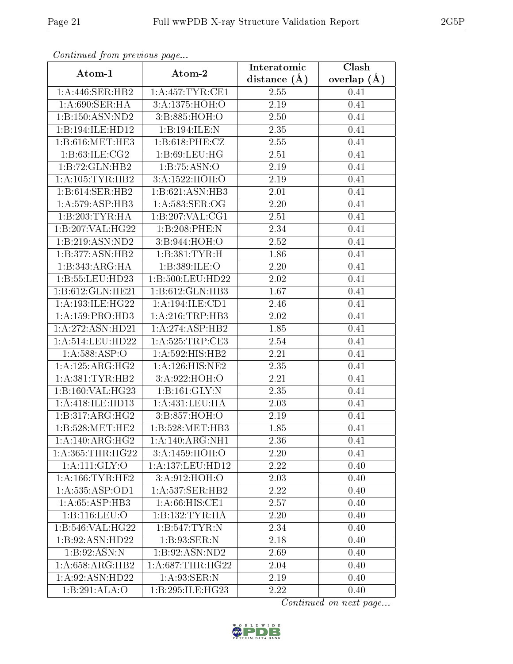| Continuea from previous page |                     | Interatomic       | Clash           |
|------------------------------|---------------------|-------------------|-----------------|
| Atom-1                       | Atom-2              | distance $(A)$    | overlap $(\AA)$ |
| 1: A:446: SER: HB2           | 1: A:457: TYR: CE1  | 2.55              | 0.41            |
| 1:A:690:SER:HA               | 3:A:1375:HOH:O      | 2.19              | 0.41            |
| 1:B:150:ASN:ND2              | 3:B:885:HOH:O       | 2.50              | 0.41            |
| 1:B:194:ILE:HD12             | 1:B:194:ILE:N       | 2.35              | 0.41            |
| 1:B:616:MET:HE3              | 1: B:618: PHE: CZ   | 2.55              | 0.41            |
| 1:B:63:ILE:CG2               | 1: B:69: LEU: HG    | 2.51              | 0.41            |
| 1:B:72:GLN:HB2               | 1:B:75:ASN:O        | 2.19              | 0.41            |
| 1:A:105:TYR:HB2              | 3:A:1522:HOH:O      | 2.19              | 0.41            |
| 1:B:614:SER:HB2              | 1:B:621:ASN:HB3     | 2.01              | 0.41            |
| 1:A:579:ASP:HB3              | 1: A:583: SER:OG    | $\overline{2.20}$ | 0.41            |
| 1:B:203:TYR:HA               | 1:B:207:VAL:CG1     | 2.51              | 0.41            |
| 1:B:207:VAL:HG22             | 1:B:208:PHE:N       | 2.34              | 0.41            |
| 1:B:219:ASN:ND2              | 3:B:944:HOH:O       | 2.52              | 0.41            |
| 1:B:377:ASN:HB2              | 1:B:381:TYR:H       | 1.86              | 0.41            |
| 1:B:343:ARG:HA               | 1:B:389:ILE:O       | 2.20              | 0.41            |
| 1:B:55:LEU:HD23              | 1:B:500:LEU:HD22    | 2.02              | 0.41            |
| 1:B:612:GLN:HE21             | 1:B:612:GLN:HB3     | 1.67              | 0.41            |
| 1:A:193:ILE:HG22             | 1:A:194:ILE:CD1     | 2.46              | 0.41            |
| 1:A:159:PRO:HD3              | 1:A:216:TRP:HB3     | 2.02              | 0.41            |
| 1:A:272:ASN:HD21             | 1:A:274:ASP:HB2     | 1.85              | 0.41            |
| 1:A:514:LEU:HD22             | 1:A:525:TRP:CE3     | 2.54              | 0.41            |
| 1:A:588:ASP:O                | 1:A:592:HIS:HB2     | 2.21              | 0.41            |
| 1:A:125:ARG:HG2              | 1: A: 126: HIS: NE2 | 2.35              | 0.41            |
| 1:A:381:TYR:HB2              | 3:A:922:HOH:O       | 2.21              | 0.41            |
| 1:B:160:VAL:HG23             | 1:B:161:GLY:N       | 2.35              | 0.41            |
| 1:A:418:ILE:HD13             | 1:A:431:LEU:HA      | 2.03              | 0.41            |
| 1:B:317:ARG:HG2              | 3:B:857:HOH:O       | 2.19              | 0.41            |
| 1:B:528:MET:HE2              | 1:B:528:MET:HB3     | 1.85              | 0.41            |
| 1:A:140:ARG:HG2              | 1:A:140:ARG:NH1     | 2.36              | 0.41            |
| 1: A: 365: THR: HG22         | 3:A:1459:HOH:O      | 2.20              | 0.41            |
| 1: A:111: GLY:O              | 1:A:137:LEU:HD12    | 2.22              | 0.40            |
| 1: A:166:TYR:HE2             | 3:A:912:HOH:O       | 2.03              | 0.40            |
| 1:A:535:ASP:OD1              | 1: A: 537: SER: HB2 | 2.22              | 0.40            |
| 1: A:65:ASP:HB3              | 1: A:66: HIS: CE1   | 2.57              | 0.40            |
| 1:B:116:LEU:O                | 1:B:132:TYR:HA      | 2.20              | 0.40            |
| 1:B:546:VAL:HG22             | 1:B:547:TYR:N       | 2.34              | 0.40            |
| 1:B:92:ASN:HD22              | 1:B:93:SER:N        | 2.18              | 0.40            |
| 1: B:92: ASN:N               | 1:B:92:ASN:ND2      | 2.69              | 0.40            |
| 1: A:658:ARG:HB2             | 1: A:687:THR:HG22   | 2.04              | 0.40            |
| 1:A:92:ASN:HD22              | 1: A:93: SER: N     | 2.19              | 0.40            |
| 1:B:291:ALA:O                | 1:B:295:ILE:HG23    | 2.22              | 0.40            |

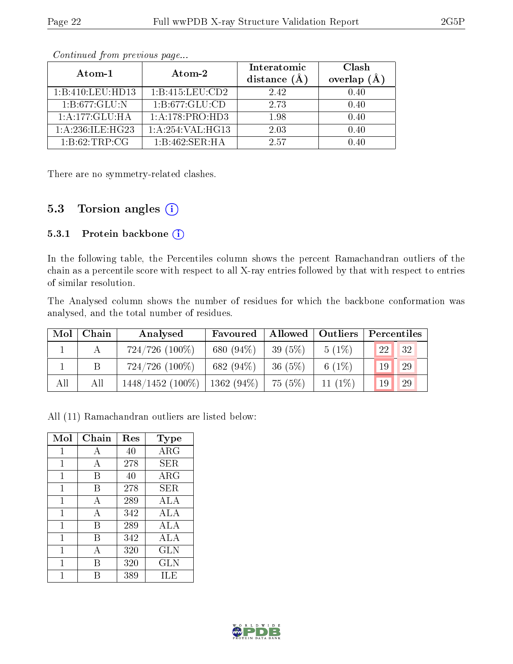| Atom-1                     | Atom-2              | Interatomic<br>distance $(A)$ | Clash<br>overlap $(A)$ |  |
|----------------------------|---------------------|-------------------------------|------------------------|--|
| 1:B:410:LEU:HD13           | 1:B:415:LEU:CD2     | 2.42                          | 0.40                   |  |
| $1:B:677:GL\overline{U:N}$ | 1:B:677:GLU:CD      | 2.73                          | 0.40                   |  |
| 1:A:177:GLU:HA             | 1:A:178:PRO:HD3     | 1.98                          | 0.40                   |  |
| 1: A:236: ILE: HG23        | 1: A:254: VAL: HG13 | 2.03                          | 0.40                   |  |
| 1: B:62:TRP:CG             | 1:B:462:SER:HA      | 2.57                          |                        |  |

There are no symmetry-related clashes.

## 5.3 Torsion angles (i)

#### 5.3.1 Protein backbone (i)

In the following table, the Percentiles column shows the percent Ramachandran outliers of the chain as a percentile score with respect to all X-ray entries followed by that with respect to entries of similar resolution.

The Analysed column shows the number of residues for which the backbone conformation was analysed, and the total number of residues.

| Mol | Chain | Analysed            | Favoured     | Allowed<br>$\vert$ Outliers |           | Percentiles |               |  |
|-----|-------|---------------------|--------------|-----------------------------|-----------|-------------|---------------|--|
|     |       | $724/726$ $(100\%)$ | 680 (94%)    | 39 (5%)                     | $5(1\%)$  | 22          | 32            |  |
|     |       | $724/726$ $(100\%)$ | 682 (94%)    | 36(5%)                      | 6 $(1%)$  | 19          | <sup>29</sup> |  |
| All | All   | $1448/1452$ (100%)  | $1362(94\%)$ | 75 (5%)                     | $11(1\%)$ | 19          | <sup>29</sup> |  |

All (11) Ramachandran outliers are listed below:

| Mol          | Chain | Res | Type         |
|--------------|-------|-----|--------------|
| $\mathbf{1}$ | А     | 40  | $\rm{ARG}$   |
| 1            | А     | 278 | SER          |
| 1            | В     | 40  | $\rm{ARG}$   |
| 1            | В     | 278 | SER          |
| 1            | А     | 289 | ALA          |
| 1            | А     | 342 | ALA          |
| $\mathbf{1}$ | B     | 289 | ALA          |
| 1            | В     | 342 | ALA          |
| 1            | A     | 320 | <b>GLN</b>   |
| 1            | В     | 320 | $_{\rm GLN}$ |
|              | R     | 389 | ILE          |

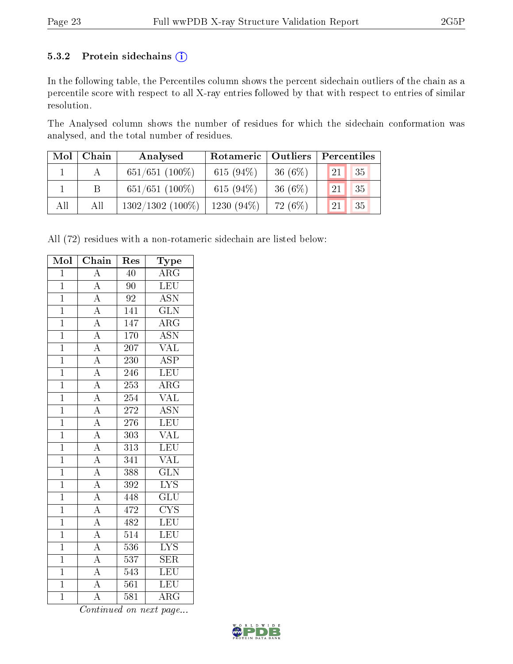#### 5.3.2 Protein sidechains (i)

In the following table, the Percentiles column shows the percent sidechain outliers of the chain as a percentile score with respect to all X-ray entries followed by that with respect to entries of similar resolution.

The Analysed column shows the number of residues for which the sidechain conformation was analysed, and the total number of residues.

| Mol | Chain | Analysed            | Rotameric   Outliers |            | Percentiles   |    |  |
|-----|-------|---------------------|----------------------|------------|---------------|----|--|
|     |       | $651/651$ (100\%)   | 615 $(94\%)$         | 36 $(6%)$  | 21            | 35 |  |
|     | B     | $651/651$ (100%)    | 615 $(94\%)$         | 36 $(6\%)$ | <sup>21</sup> | 35 |  |
| All | All   | $1302/1302$ (100\%) | $1230(94\%)$         | 72 (6\%)   | 21            | 35 |  |

All (72) residues with a non-rotameric sidechain are listed below:

| Mol            | $\overline{\text{Chain}}$                                               | Res              | Type                            |
|----------------|-------------------------------------------------------------------------|------------------|---------------------------------|
| $\mathbf{1}$   | $\overline{\rm A}$                                                      | 40               | $\rm{ARG}$                      |
| $\overline{1}$ | $\overline{A}$                                                          | $\overline{90}$  | LEU                             |
| $\overline{1}$ | $\overline{A}$                                                          | 92               | <b>ASN</b>                      |
| $\overline{1}$ | $\overline{A}$                                                          | 141              | $\overline{\text{GLN}}$         |
| $\overline{1}$ |                                                                         | 147              | $\overline{\rm{ARG}}$           |
| $\overline{1}$ |                                                                         | 170              | <b>ASN</b>                      |
| $\overline{1}$ | $\frac{\overline{A}}{\overline{A}}$ $\frac{\overline{A}}{\overline{A}}$ | $\overline{207}$ | $\overline{\text{VAL}}$         |
| $\overline{1}$ |                                                                         | 230              | <b>ASP</b>                      |
| $\mathbf{1}$   |                                                                         | 246              | LEU                             |
| $\overline{1}$ | $\overline{A}$                                                          | 253              | $\overline{\text{ARG}}$         |
| $\overline{1}$ | $\frac{\overline{A}}{\overline{A}}$                                     | 254              | <b>VAL</b>                      |
| $\overline{1}$ |                                                                         | 272              | $\overline{\text{ASN}}$         |
| $\overline{1}$ | $\frac{\overline{A}}{\overline{A}}$                                     | $276\,$          | LEU                             |
| $\overline{1}$ |                                                                         | $\overline{303}$ | $\overline{\text{VAL}}$         |
| $\overline{1}$ |                                                                         | $\overline{313}$ | LEU                             |
| $\overline{1}$ | $\frac{\overline{A}}{\overline{A}}$                                     | $\overline{341}$ | <b>VAL</b>                      |
| $\overline{1}$ |                                                                         | 388              | $\overline{\text{GLN}}$         |
| $\mathbf{1}$   |                                                                         | 392              | $\overline{\text{LYS}}$         |
| $\overline{1}$ | $\overline{A}$                                                          | 448              | $\overline{\text{GLU}}$         |
| $\overline{1}$ | $\overline{A}$                                                          | 472              | $\overline{\text{C} \text{YS}}$ |
| $\overline{1}$ | $\frac{\overline{A}}{\overline{A}}$                                     | 482              | $\overline{\text{LEU}}$         |
| $\overline{1}$ |                                                                         | $\overline{514}$ | LEU                             |
| $\mathbf{1}$   | $\overline{A}$                                                          | 536              | $\overline{\text{LYS}}$         |
| $\overline{1}$ | $\overline{A}$                                                          | 537              | $\overline{\text{SER}}$         |
| $\overline{1}$ | $\overline{A}$                                                          | 543              | LEU                             |
| $\overline{1}$ | $\overline{A}$                                                          | 561              | $\overline{\text{LEU}}$         |
| $\overline{1}$ | $\overline{\rm A}$                                                      | 581              | $\overline{\rm{ARG}}$           |

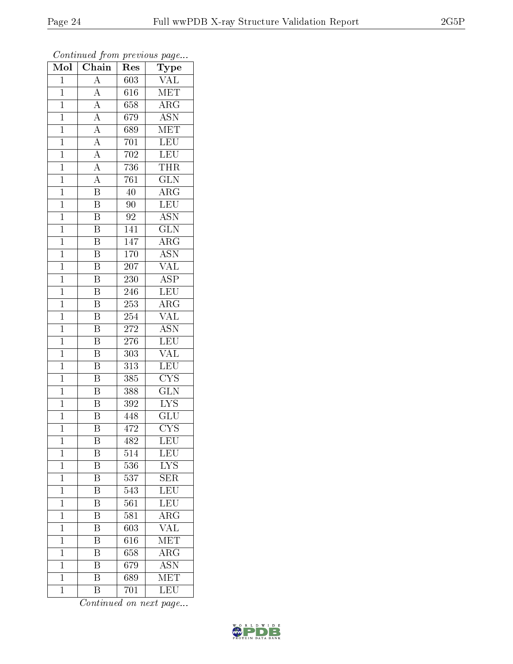| Mol            | $\overline{\text{Chain}}$ | Res              | $\overline{\phantom{a}}$<br>Type |
|----------------|---------------------------|------------------|----------------------------------|
| $\mathbf{1}$   | $\overline{\rm A}$        | 603              | <b>VAL</b>                       |
| $\mathbf 1$    | $\overline{A}$            | 616              | MET                              |
| $\mathbf{1}$   | $\overline{A}$            | 658              | $\overline{\rm{ARG}}$            |
| $\overline{1}$ | $\overline{A}$            | 679              | <b>ASN</b>                       |
| $\overline{1}$ | $\frac{\overline{A}}{A}$  | 689              | $\overline{\text{MET}}$          |
| $\mathbf{1}$   |                           | 701              | <b>LEU</b>                       |
| $\mathbf{1}$   | $\frac{\overline{A}}{A}$  | 702              | LEU                              |
| $\mathbf{1}$   |                           | $\overline{7}36$ | <b>THR</b>                       |
| $\mathbf{1}$   | $\overline{A}$            | 761              | $\overline{\text{GLN}}$          |
| $\overline{1}$ | $\overline{\mathrm{B}}$   | 40               | $\overline{\rm{ARG}}$            |
| $\mathbf{1}$   | B                         | $\overline{90}$  | LEU                              |
| $\mathbf{1}$   | $\overline{\mathrm{B}}$   | 92               | $\overline{\mathrm{ASN}}$        |
| $\mathbf{1}$   | $\overline{\mathrm{B}}$   | 141              | $\overline{\text{GLN}}$          |
| $\overline{1}$ | B                         | 147              | $\rm{ARG}$                       |
| $\overline{1}$ | $\overline{\mathrm{B}}$   | 170              | $\overline{\mathrm{ASN}}$        |
| $\mathbf{1}$   | $\overline{\mathrm{B}}$   | 207              | <b>VAL</b>                       |
| $\overline{1}$ | $\overline{\mathrm{B}}$   | 230              | $\overline{\text{ASP}}$          |
| $\mathbf{1}$   | B                         | 246              | <b>LEU</b>                       |
| $\overline{1}$ | $\overline{\mathrm{B}}$   | 253              | $\overline{\rm{ARG}}$            |
| $\overline{1}$ | Β                         | 254              | $\overline{\text{VAL}}$          |
| $\mathbf{1}$   | $\overline{\mathrm{B}}$   | 272              | $\overline{\text{ASN}}$          |
| $\mathbf{1}$   | $\overline{\mathrm{B}}$   | 276              | LEU                              |
| $\mathbf 1$    | $\overline{\mathrm{B}}$   | 303              | $\overline{\text{VAL}}$          |
| $\overline{1}$ | $\overline{\mathrm{B}}$   | 313              | $\overline{\text{LEU}}$          |
| $\mathbf{1}$   | $\overline{\mathrm{B}}$   | 385              | $\overline{\text{CYS}}$          |
| $\mathbf{1}$   | $\overline{\mathrm{B}}$   | 388              | $\overline{\text{GLN}}$          |
| $\mathbf{1}$   | $\overline{\mathrm{B}}$   | 392              | $\overline{\text{LYS}}$          |
| $\mathbf{1}$   | $\overline{\mathrm{B}}$   | 448              | GLU                              |
| $\overline{1}$ | $\overline{\mathrm{B}}$   | 472              | $\overline{\text{CYS}}$          |
| 1              | Β                         | 482              | LEU                              |
| $\mathbf{1}$   | Β                         | 514              | $\mathrm{LEU}$                   |
| $\mathbf 1$    | $\overline{\mathrm{B}}$   | 536              | <b>LYS</b>                       |
| $\mathbf{1}$   | Β                         | 537              | <b>SER</b>                       |
| $\mathbf 1$    | $\overline{\mathrm{B}}$   | 543              | $\overline{\text{LEU}}$          |
| $\mathbf{1}$   | Β                         | 561              | LEU                              |
| $\mathbf{1}$   | $\overline{\mathrm{B}}$   | 581              | $\overline{\rm{ARG}}$            |
| $\mathbf 1$    | $\overline{\mathrm{B}}$   | 603              | <b>VAL</b>                       |
| $\overline{1}$ | B                         | 616              | MET                              |
| $\mathbf 1$    | Β                         | 658              | $\overline{\rm{ARG}}$            |
| $\mathbf{1}$   | $\overline{\rm B}$        | 679              | <b>ASN</b>                       |
| $\mathbf{1}$   | $\overline{\mathrm{B}}$   | 689              | $\overline{\text{MET}}$          |
| $\mathbf{1}$   | Β                         | 701              | LEU                              |

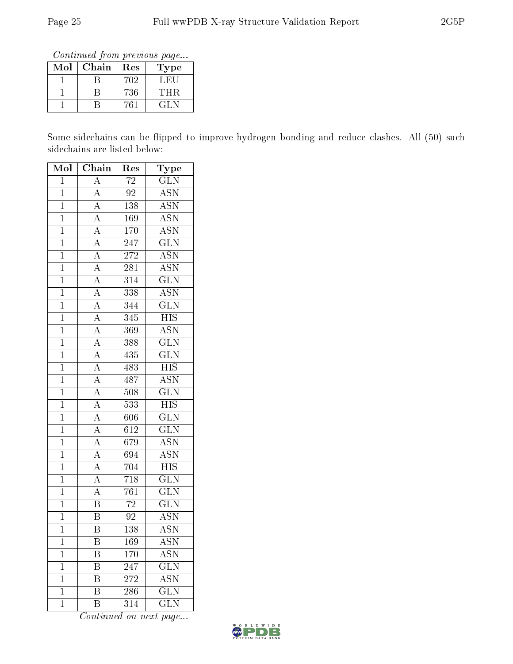Continued from previous page...

| Mol | Chain<br>Res |     | Type  |
|-----|--------------|-----|-------|
|     |              | 702 | L HH. |
|     |              | 736 | 'THR- |
|     |              | 'ና` | 71 N  |

Some sidechains can be flipped to improve hydrogen bonding and reduce clashes. All (50) such sidechains are listed below:

| Mol            | $\overline{\text{Chain}}$                                               | Res              | Type                      |
|----------------|-------------------------------------------------------------------------|------------------|---------------------------|
| $\mathbf 1$    | $\overline{A}$                                                          | 72               | $\overline{G}LN$          |
| $\overline{1}$ | $\overline{A}$                                                          | $\overline{92}$  | <b>ASN</b>                |
| $\overline{1}$ | $\overline{A}$                                                          | 138              | $\overline{\text{ASN}}$   |
| $\overline{1}$ | $\overline{A}$                                                          | <b>169</b>       | $\overline{ASN}$          |
| $\overline{1}$ | $\overline{A}$                                                          | $\overline{170}$ | $\overline{\text{ASN}}$   |
| $\overline{1}$ | $\overline{A}$                                                          | $\overline{247}$ | $\overline{\text{GLN}}$   |
| $\overline{1}$ | $\overline{A}$                                                          | 272              | $\overline{\text{ASN}}$   |
| $\overline{1}$ | $\overline{A}$                                                          | $\overline{281}$ | $\overline{\text{ASN}}$   |
| $\overline{1}$ |                                                                         | $\overline{314}$ | $\overline{\text{GLN}}$   |
| $\mathbf{1}$   |                                                                         | 338              | $\overline{\mathrm{ASN}}$ |
| $\overline{1}$ | $\frac{\overline{A}}{\overline{A}}$ $\frac{\overline{A}}{\overline{A}}$ | 344              | $\overline{\text{GLN}}$   |
| $\overline{1}$ |                                                                         | 345              | $\overline{HIS}$          |
| $\overline{1}$ |                                                                         | 369              | $\overline{\text{ASN}}$   |
| $\overline{1}$ | $\frac{\overline{A}}{\overline{A}}$                                     | 388              | $\overline{\text{GLN}}$   |
| $\mathbf{1}$   | $\frac{\overline{A}}{A}$                                                | 435              | $\overline{\text{GLN}}$   |
| $\overline{1}$ |                                                                         | 483              | $\overline{HIS}$          |
| $\overline{1}$ |                                                                         | 487              | <b>ASN</b>                |
| $\overline{1}$ | $\frac{\overline{A}}{\overline{A}}$ $\frac{\overline{A}}{\overline{A}}$ | 508              | $\overline{\text{GLN}}$   |
| $\overline{1}$ |                                                                         | 533              | $\overline{\mathrm{HIS}}$ |
| $\overline{1}$ |                                                                         | 606              | $\overline{\text{GLN}}$   |
| $\overline{1}$ | $\frac{\overline{A}}{A}$                                                | $\overline{612}$ | $\overline{\text{GLN}}$   |
| $\overline{1}$ |                                                                         | 679              | <b>ASN</b>                |
| $\overline{1}$ | $\overline{A}$                                                          | 694              | <b>ASN</b>                |
| $\overline{1}$ | $\overline{A}$                                                          | 704              | <b>HIS</b>                |
| $\overline{1}$ | $\overline{A}$                                                          | $\overline{718}$ | $\overline{\text{GLN}}$   |
| $\overline{1}$ | $\overline{A}$                                                          | 761              | $\overline{\text{GLN}}$   |
| $\overline{1}$ | $\overline{\mathrm{B}}$                                                 | $\overline{72}$  | $\overline{\text{GLN}}$   |
| $\overline{1}$ | $\overline{\text{B}}$                                                   | $\overline{92}$  | $\bar{\rm ASN}$           |
| $\mathbf 1$    | $\overline{\textrm{B}}$                                                 | 138              | <b>ASN</b>                |
| 1              | Β                                                                       | 169              | ASN                       |
| $\mathbf 1$    | Β                                                                       | 170              | $\overline{\mathrm{ASN}}$ |
| $\mathbf 1$    | B                                                                       | 247              | $\overline{\text{GLN}}$   |
| $\mathbf 1$    | Β                                                                       | 272              | $\overline{\text{ASN}}$   |
| $\mathbf 1$    | Β                                                                       | 286              | $\rm GL\overline{N}$      |
| $\mathbf 1$    | Β                                                                       | 314              | GLN                       |

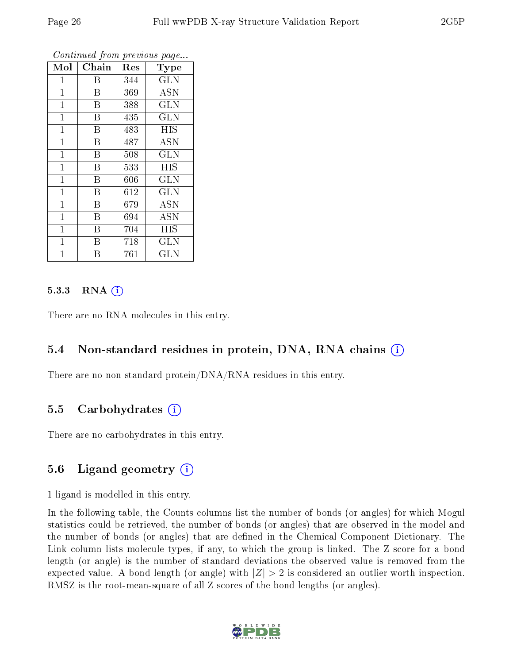| Mol          | Chain          | Res | Type       |
|--------------|----------------|-----|------------|
| 1            | Β              | 344 | <b>GLN</b> |
| $\mathbf 1$  | B              | 369 | <b>ASN</b> |
| $\mathbf 1$  | Β              | 388 | <b>GLN</b> |
| $\mathbf{1}$ | B              | 435 | <b>GLN</b> |
| $\mathbf{1}$ | B              | 483 | <b>HIS</b> |
| 1            | B              | 487 | <b>ASN</b> |
| $\mathbf{1}$ | B              | 508 | GLN        |
| $\mathbf{1}$ | B              | 533 | HIS        |
| 1            | B              | 606 | <b>GLN</b> |
| $\mathbf{1}$ | B              | 612 | GLN        |
| $\mathbf{1}$ | B              | 679 | <b>ASN</b> |
| 1            | Β              | 694 | <b>ASN</b> |
| $\mathbf 1$  | $\overline{B}$ | 704 | HIS        |
| $\mathbf{1}$ | B              | 718 | <b>GLN</b> |
| 1            | В              | 761 | GLN        |

#### $5.3.3$  RNA  $(i)$

There are no RNA molecules in this entry.

#### 5.4 Non-standard residues in protein, DNA, RNA chains (i)

There are no non-standard protein/DNA/RNA residues in this entry.

#### 5.5 Carbohydrates  $(i)$

There are no carbohydrates in this entry.

### 5.6 Ligand geometry (i)

1 ligand is modelled in this entry.

In the following table, the Counts columns list the number of bonds (or angles) for which Mogul statistics could be retrieved, the number of bonds (or angles) that are observed in the model and the number of bonds (or angles) that are defined in the Chemical Component Dictionary. The Link column lists molecule types, if any, to which the group is linked. The Z score for a bond length (or angle) is the number of standard deviations the observed value is removed from the expected value. A bond length (or angle) with  $|Z| > 2$  is considered an outlier worth inspection. RMSZ is the root-mean-square of all Z scores of the bond lengths (or angles).

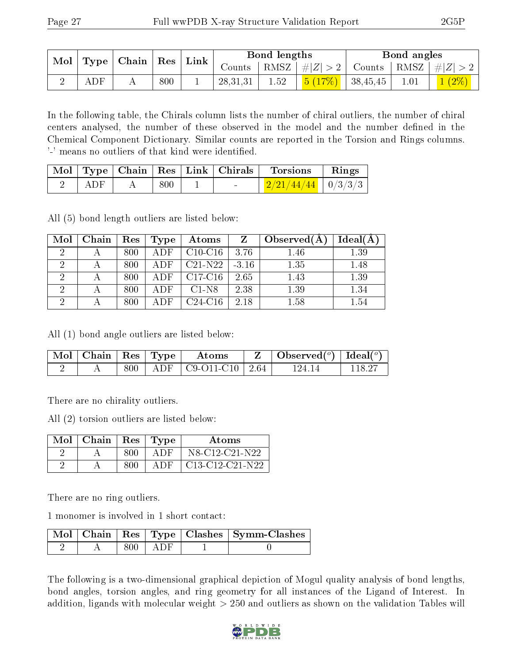| $\mid$ Mol $\mid$ |             | $\mid$ Type   Chain   Res   Link |     |          | Bond lengths |                                 | Bond angles                                                       |          |
|-------------------|-------------|----------------------------------|-----|----------|--------------|---------------------------------|-------------------------------------------------------------------|----------|
|                   |             |                                  |     |          |              |                                 | Counts   RMSZ $\mid \#  Z  > 2$   Counts   RMSZ $\mid \#  Z  > 2$ |          |
|                   | ${\rm ADF}$ |                                  | 800 | 28,31,31 | 1.52         | <mark>5 (17%)</mark>   38,45,45 |                                                                   | $1(2\%)$ |

In the following table, the Chirals column lists the number of chiral outliers, the number of chiral centers analysed, the number of these observed in the model and the number defined in the Chemical Component Dictionary. Similar counts are reported in the Torsion and Rings columns. '-' means no outliers of that kind were identified.

|     |     |  | $\mid$ Mol $\mid$ Type $\mid$ Chain $\mid$ Res $\mid$ Link $\mid$ Chirals $\mid$ Torsions | $\parallel$ Rings |
|-----|-----|--|-------------------------------------------------------------------------------------------|-------------------|
| ADF | 800 |  | $\frac{2}{21/44/44}$   0/3/3/3                                                            |                   |

All (5) bond length outliers are listed below:

| Mol            | Chain | Res | Type | Atoms     | $\mathbf{Z}$ | Observed(A) | Ideal(A) |
|----------------|-------|-----|------|-----------|--------------|-------------|----------|
| 2              |       | 800 | ADF  | $C10-C16$ | 3.76         | 1.46        | 1.39     |
| 2              |       | 800 | ADF  | $C21-N22$ | $-3.16$      | 1.35        | 1.48     |
| $\overline{2}$ |       | 800 | ADF  | $C17-C16$ | 2.65         | 1.43        | 1.39     |
| $\overline{2}$ |       | 800 | ADF. | $C1-N8$   | 2.38         | 1.39        | 1.34     |
| ച              |       | 800 | ADF  | $C24-C16$ | 2.18         | 1.58        | $1.54\,$ |

All (1) bond angle outliers are listed below:

| $\mid$ Mol $\mid$ Chain $\mid$ Res $\mid$ Type $\mid$ |  | Atoms                           | $\mid$ Observed $({}^o)$ $\mid$ Ideal $({}^o)$ |        |
|-------------------------------------------------------|--|---------------------------------|------------------------------------------------|--------|
|                                                       |  | $800$   ADF   C9-O11-C10   2.64 | 124-14                                         | 118.27 |

There are no chirality outliers.

All (2) torsion outliers are listed below:

| Mol | $\mid$ Chain $\mid$ Res |      | Type | Atoms             |
|-----|-------------------------|------|------|-------------------|
|     |                         | 800  | ADE  | N8-C12-C21-N22    |
|     |                         | 800. | ADE  | $C13-C12-C21-N22$ |

There are no ring outliers.

1 monomer is involved in 1 short contact:

|  |      |          | Mol   Chain   Res   Type   Clashes   Symm-Clashes |
|--|------|----------|---------------------------------------------------|
|  | 800. | $+$ ADF. |                                                   |

The following is a two-dimensional graphical depiction of Mogul quality analysis of bond lengths, bond angles, torsion angles, and ring geometry for all instances of the Ligand of Interest. In addition, ligands with molecular weight > 250 and outliers as shown on the validation Tables will

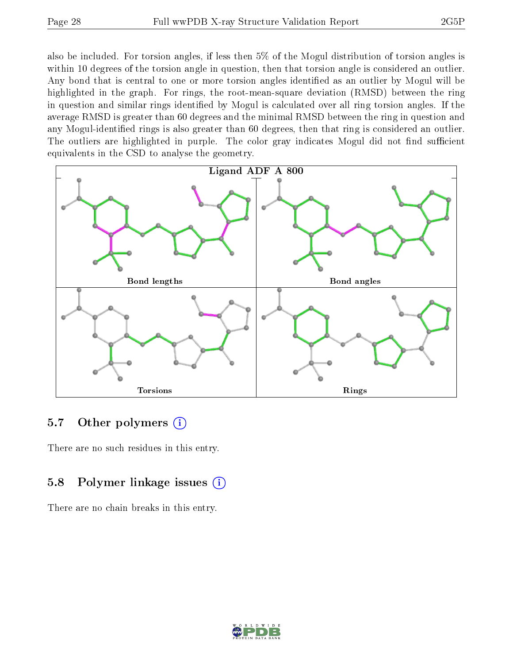also be included. For torsion angles, if less then 5% of the Mogul distribution of torsion angles is within 10 degrees of the torsion angle in question, then that torsion angle is considered an outlier. Any bond that is central to one or more torsion angles identified as an outlier by Mogul will be highlighted in the graph. For rings, the root-mean-square deviation (RMSD) between the ring in question and similar rings identified by Mogul is calculated over all ring torsion angles. If the average RMSD is greater than 60 degrees and the minimal RMSD between the ring in question and any Mogul-identified rings is also greater than 60 degrees, then that ring is considered an outlier. The outliers are highlighted in purple. The color gray indicates Mogul did not find sufficient equivalents in the CSD to analyse the geometry.



### 5.7 [O](https://www.wwpdb.org/validation/2017/XrayValidationReportHelp#nonstandard_residues_and_ligands)ther polymers (i)

There are no such residues in this entry.

## 5.8 Polymer linkage issues (i)

There are no chain breaks in this entry.

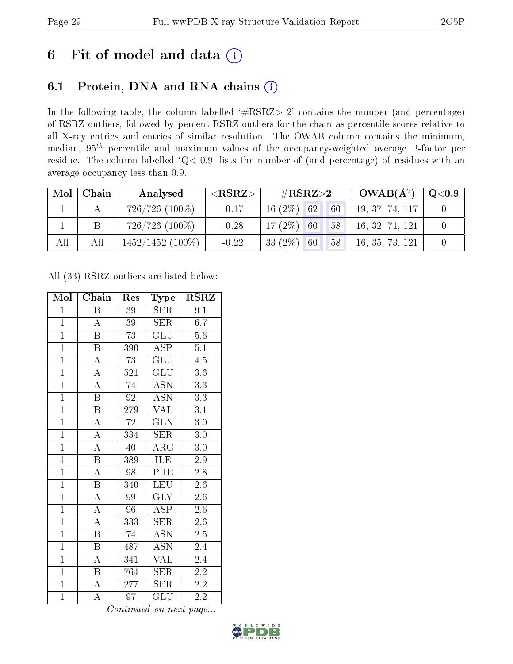# 6 Fit of model and data  $(i)$

## 6.1 Protein, DNA and RNA chains  $(i)$

In the following table, the column labelled  $#RSRZ> 2'$  contains the number (and percentage) of RSRZ outliers, followed by percent RSRZ outliers for the chain as percentile scores relative to all X-ray entries and entries of similar resolution. The OWAB column contains the minimum, median,  $95<sup>th</sup>$  percentile and maximum values of the occupancy-weighted average B-factor per residue. The column labelled ' $Q< 0.9$ ' lists the number of (and percentage) of residues with an average occupancy less than 0.9.

| Mol | Chain | Analysed            | ${ <\hspace{-1.5pt}{\mathrm{RSRZ}} \hspace{-1.5pt}>}$ | $\#\text{RSRZ}{>}2$ |    | $OWAB(A^2)$ | $\,$ Q $<$ 0.9 $\,$ |  |
|-----|-------|---------------------|-------------------------------------------------------|---------------------|----|-------------|---------------------|--|
|     |       | $726/726$ $(100\%)$ | $-0.17$                                               | $16(2\%)$ 62        |    | 60          | 19, 37, 74, 117     |  |
|     |       | $726/726$ $(100\%)$ | $-0.28$                                               | 17 $(2\%)$          | 60 | 58          | 16, 32, 71, 121     |  |
| All | All   | $1452/1452$ (100\%) | $-0.22$                                               | 33 $(2\%)$          | 60 | 58          | 16, 35, 73, 121     |  |

All (33) RSRZ outliers are listed below:

| Mol            | Chain                   | Res             | <b>Type</b>               | <b>RSRZ</b>      |
|----------------|-------------------------|-----------------|---------------------------|------------------|
| $\mathbf{1}$   | $\, {\bf B}$            | 39              | <b>SER</b>                | 9.1              |
| $\mathbf{1}$   | $\overline{A}$          | 39              | SER                       | 6.7              |
| $\overline{1}$ | B                       | 73              | GLU                       | $5.6\,$          |
| $\mathbf{1}$   | $\, {\bf B}$            | 390             | ASP                       | 5.1              |
| $\overline{1}$ | $\overline{\rm A}$      | 73              | $\overline{{\rm GLU}}$    | $\overline{4.5}$ |
| $\overline{1}$ | $\overline{\rm A}$      | 521             | GLU                       | 3.6              |
| $\overline{1}$ | $\overline{\rm A}$      | 74              | <b>ASN</b>                | 3.3              |
| $\overline{1}$ | $\boldsymbol{B}$        | 92              | <b>ASN</b>                | 3.3              |
| $\overline{1}$ | $\overline{\mathrm{B}}$ | 279             | <b>VAL</b>                | $\overline{3.1}$ |
| $\overline{1}$ | $\overline{\rm A}$      | $\overline{72}$ | $\overline{\text{GLN}}$   | 3.0              |
| $\overline{1}$ | $\overline{\rm A}$      | 334             | SER                       | 3.0              |
| $\overline{1}$ | $\overline{\rm A}$      | 40              | ARG                       | 3.0              |
| $\overline{1}$ | $\overline{\mathrm{B}}$ | 389             | ILE                       | 2.9              |
| $\overline{1}$ | $\overline{\rm A}$      | 98              | PHE                       | 2.8              |
| $\overline{1}$ | $\overline{\mathrm{B}}$ | 340             | LEU                       | $\overline{2.6}$ |
| $\overline{1}$ | $\overline{\rm A}$      | 99              | <b>GLY</b>                | $2.6\,$          |
| $\overline{1}$ | $\overline{\rm A}$      | $\overline{96}$ | $\overline{\text{ASP}}$   | $\overline{2.6}$ |
| $\mathbf{1}$   | $\overline{\rm A}$      | 333             | SER                       | $2.6\,$          |
| $\mathbf{1}$   | $\boldsymbol{B}$        | 74              | <b>ASN</b>                | $2.5\,$          |
| $\overline{1}$ | $\overline{\mathrm{B}}$ | 487             | $\overline{\mathrm{ASN}}$ | 2.4              |
| $\overline{1}$ | $\boldsymbol{A}$        | 341             | $\overline{\text{VAL}}$   | 2.4              |
| $\overline{1}$ | Β                       | 764             | SER                       | 2.2              |
| $\overline{1}$ | $\boldsymbol{A}$        | 277             | $\overline{\text{SER}}$   | 2.2              |
| $\overline{1}$ | A                       | 97              | GLU                       | 2.2              |

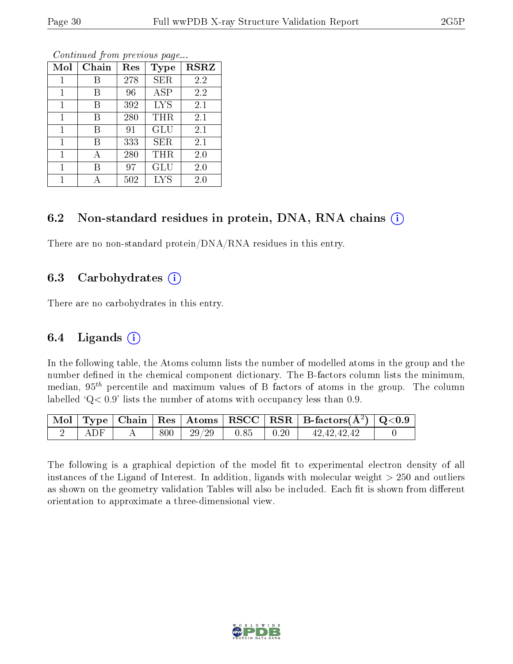| Mol            | Chain | Res | Type       | $\bf RSRZ$ |
|----------------|-------|-----|------------|------------|
|                | В     | 278 | <b>SER</b> | 2.2        |
| 1              | В     | 96  | <b>ASP</b> | 2.2        |
| 1              | В     | 392 | <b>LYS</b> | 2.1        |
| $\overline{1}$ | В     | 280 | THR        | 2.1        |
| $\mathbf{1}$   | B     | 91  | GLU        | 2.1        |
| $\mathbf{1}$   | В     | 333 | <b>SER</b> | 2.1        |
| 1              | А     | 280 | THR        | 2.0        |
| 1              | В     | 97  | GLU        | 2.0        |
| 1              |       | 502 | <b>LYS</b> | $2.0\,$    |

### 6.2 Non-standard residues in protein, DNA, RNA chains  $(i)$

There are no non-standard protein/DNA/RNA residues in this entry.

### 6.3 Carbohydrates (i)

There are no carbohydrates in this entry.

### 6.4 Ligands  $(i)$

In the following table, the Atoms column lists the number of modelled atoms in the group and the number defined in the chemical component dictionary. The B-factors column lists the minimum, median,  $95<sup>th</sup>$  percentile and maximum values of B factors of atoms in the group. The column labelled  $Q< 0.9$ ' lists the number of atoms with occupancy less than 0.9.

|         |     |                |                                                      | $\vert$ Mol $\vert$ Type $\vert$ Chain $\vert$ Res $\vert$ Atoms $\vert$ RSCC $\vert$ RSR $\vert$ B-factors(A <sup>2</sup> ) $\vert$ Q<0.9 |  |
|---------|-----|----------------|------------------------------------------------------|--------------------------------------------------------------------------------------------------------------------------------------------|--|
| – A D F | 800 | $29/29$   0.85 | $\begin{array}{c} \begin{array}{c} \end{array}$ 0.20 | 42, 42, 42, 42                                                                                                                             |  |

The following is a graphical depiction of the model fit to experimental electron density of all instances of the Ligand of Interest. In addition, ligands with molecular weight  $> 250$  and outliers as shown on the geometry validation Tables will also be included. Each fit is shown from different orientation to approximate a three-dimensional view.